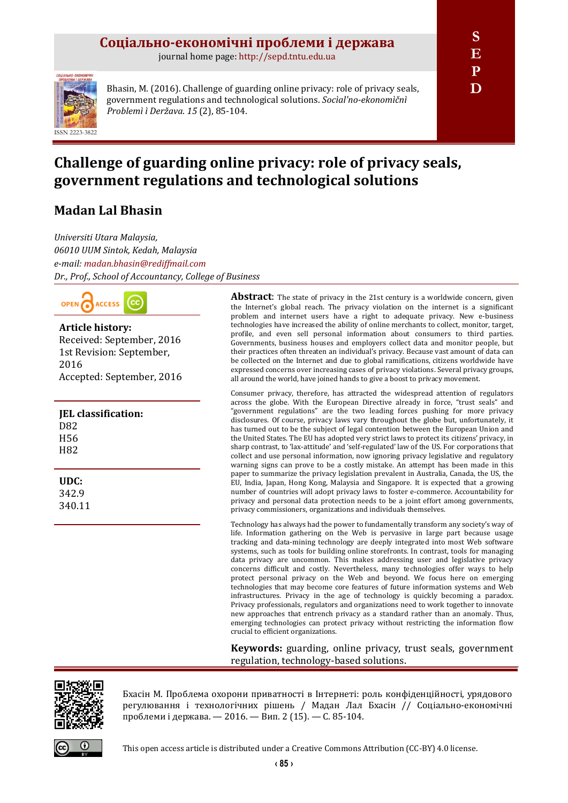# **Соціально-економічні проблеми і держава**

journal home page: [http://sepd.tntu.edu.ua](http://sepd.tntu.edu.ua/)



Bhasin, M. (2016). Challenge of guarding online privacy: role of privacy seals, government regulations and technological solutions. *Socìalʹno-ekonomìčnì Problemì ì Deržava*. *15* (2), 85-104.

# **Challenge of guarding online privacy: role of privacy seals, government regulations and technological solutions**

# **Madan Lal Bhasin**

*Universiti Utara Malaysia, 06010 UUM Sintok, Kedah, Malaysia e-mail: [madan.bhasin@rediffmail.com](mailto:madan.bhasin@rediffmail.com) Dr., Prof., School of Accountancy, College of Business*



# **Article history:**

Received: September, 2016 1st Revision: September, 2016 Accepted: September, 2016

| <b>JEL</b> classification: |  |
|----------------------------|--|
| D <sub>82</sub>            |  |
| H <sub>56</sub>            |  |
| H82                        |  |
|                            |  |
|                            |  |

**UDC:**

342.9 340.11 Abstract: The state of privacy in the 21st century is a worldwide concern, given the Internet's global reach. The privacy violation on the internet is a significant problem and internet users have a right to adequate privacy. New e-business technologies have increased the ability of online merchants to collect, monitor, target, profile, and even sell personal information about consumers to third parties. Governments, business houses and employers collect data and monitor people, but their practices often threaten an individual's privacy. Because vast amount of data can be collected on the Internet and due to global ramifications, citizens worldwide have expressed concerns over increasing cases of privacy violations. Several privacy groups, all around the world, have joined hands to give a boost to privacy movement.

Consumer privacy, therefore, has attracted the widespread attention of regulators across the globe. With the European Directive already in force, "trust seals" and "government regulations" are the two leading forces pushing for more privacy disclosures. Of course, privacy laws vary throughout the globe but, unfortunately, it has turned out to be the subject of legal contention between the European Union and the United States. The EU has adopted very strict laws to protect its citizens' privacy, in sharp contrast, to 'lax-attitude' and 'self-regulated' law of the US. For corporations that collect and use personal information, now ignoring privacy legislative and regulatory warning signs can prove to be a costly mistake. An attempt has been made in this paper to summarize the privacy legislation prevalent in Australia, Canada, the US, the EU, India, Japan, Hong Kong, Malaysia and Singapore. It is expected that a growing number of countries will adopt privacy laws to foster e-commerce. Accountability for privacy and personal data protection needs to be a joint effort among governments, privacy commissioners, organizations and individuals themselves.

Technology has always had the power to fundamentally transform any society's way of life. Information gathering on the Web is pervasive in large part because usage tracking and data-mining technology are deeply integrated into most Web software systems, such as tools for building online storefronts. In contrast, tools for managing data privacy are uncommon. This makes addressing user and legislative privacy concerns difficult and costly. Nevertheless, many technologies offer ways to help protect personal privacy on the Web and beyond. We focus here on emerging technologies that may become core features of future information systems and Web infrastructures. Privacy in the age of technology is quickly becoming a paradox. Privacy professionals, regulators and organizations need to work together to innovate new approaches that entrench privacy as a standard rather than an anomaly. Thus, emerging technologies can protect privacy without restricting the information flow crucial to efficient organizations.

**Keywords:** guarding, online privacy, trust seals, government regulation, technology-based solutions.



Бхасін M. Проблема охорони приватності в Інтернеті: роль конфіденційності, урядового регулювання і технологічних рішень / Мадан Лал Бхасін // Соціально-економічні проблеми і держава. — 2016. — Вип. 2 (15). — С. 85-104.



This open access article is distributed under [a Creative Commons Attribution \(CC-BY\) 4.0 license.](http://creativecommons.org/licenses/by/4.0/)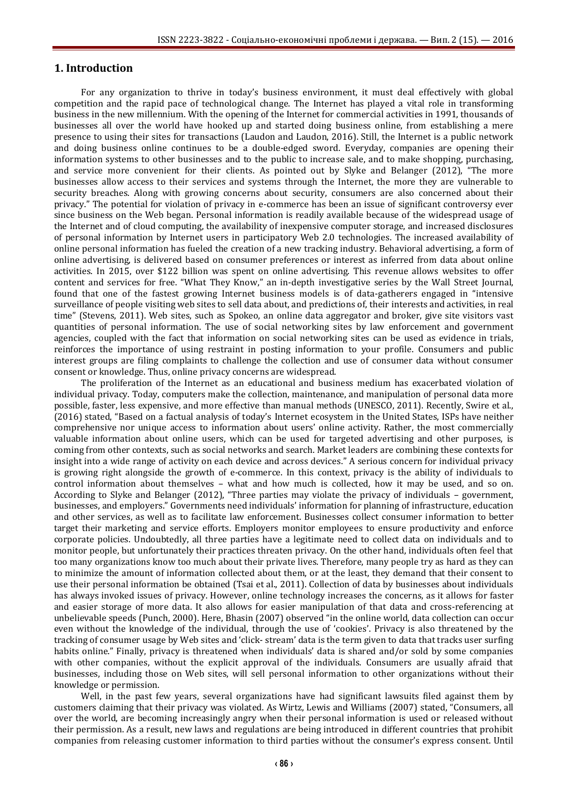## **1. Introduction**

For any organization to thrive in today's business environment, it must deal effectively with global competition and the rapid pace of technological change. The Internet has played a vital role in transforming business in the new millennium. With the opening of the Internet for commercial activities in 1991, thousands of businesses all over the world have hooked up and started doing business online, from establishing a mere presence to using their sites for transactions (Laudon and Laudon, 2016). Still, the Internet is a public network and doing business online continues to be a double-edged sword. Everyday, companies are opening their information systems to other businesses and to the public to increase sale, and to make shopping, purchasing, and service more convenient for their clients. As pointed out by Slyke and Belanger (2012), "The more businesses allow access to their services and systems through the Internet, the more they are vulnerable to security breaches. Along with growing concerns about security, consumers are also concerned about their privacy." The potential for violation of privacy in e-commerce has been an issue of significant controversy ever since business on the Web began. Personal information is readily available because of the widespread usage of the Internet and of cloud computing, the availability of inexpensive computer storage, and increased disclosures of personal information by Internet users in participatory Web 2.0 technologies. The increased availability of online personal information has fueled the creation of a new tracking industry. Behavioral advertising, a form of online advertising, is delivered based on consumer preferences or interest as inferred from data about online activities. In 2015, over \$122 billion was spent on online advertising. This revenue allows websites to offer content and services for free. "What They Know," an in-depth investigative series by the Wall Street Journal, found that one of the fastest growing Internet business models is of data-gatherers engaged in "intensive surveillance of people visiting web sites to sell data about, and predictions of, their interests and activities, in real time" (Stevens, 2011). Web sites, such as Spokeo, an online data aggregator and broker, give site visitors vast quantities of personal information. The use of social networking sites by law enforcement and government agencies, coupled with the fact that information on social networking sites can be used as evidence in trials, reinforces the importance of using restraint in posting information to your profile. Consumers and public interest groups are filing complaints to challenge the collection and use of consumer data without consumer consent or knowledge. Thus, online privacy concerns are widespread.

The proliferation of the Internet as an educational and business medium has exacerbated violation of individual privacy. Today, computers make the collection, maintenance, and manipulation of personal data more possible, faster, less expensive, and more effective than manual methods (UNESCO, 2011). Recently, Swire et al., (2016) stated, "Based on a factual analysis of today's Internet ecosystem in the United States, ISPs have neither comprehensive nor unique access to information about users' online activity. Rather, the most commercially valuable information about online users, which can be used for targeted advertising and other purposes, is coming from other contexts, such as social networks and search. Market leaders are combining these contexts for insight into a wide range of activity on each device and across devices." A serious concern for individual privacy is growing right alongside the growth of e-commerce. In this context, privacy is the ability of individuals to control information about themselves – what and how much is collected, how it may be used, and so on. According to Slyke and Belanger (2012), "Three parties may violate the privacy of individuals – government, businesses, and employers." Governments need individuals' information for planning of infrastructure, education and other services, as well as to facilitate law enforcement. Businesses collect consumer information to better target their marketing and service efforts. Employers monitor employees to ensure productivity and enforce corporate policies. Undoubtedly, all three parties have a legitimate need to collect data on individuals and to monitor people, but unfortunately their practices threaten privacy. On the other hand, individuals often feel that too many organizations know too much about their private lives. Therefore, many people try as hard as they can to minimize the amount of information collected about them, or at the least, they demand that their consent to use their personal information be obtained (Tsai et al., 2011). Collection of data by businesses about individuals has always invoked issues of privacy. However, online technology increases the concerns, as it allows for faster and easier storage of more data. It also allows for easier manipulation of that data and cross-referencing at unbelievable speeds (Punch, 2000). Here, Bhasin (2007) observed "in the online world, data collection can occur even without the knowledge of the individual, through the use of 'cookies'. Privacy is also threatened by the tracking of consumer usage by Web sites and 'click- stream' data is the term given to data that tracks user surfing habits online." Finally, privacy is threatened when individuals' data is shared and/or sold by some companies with other companies, without the explicit approval of the individuals. Consumers are usually afraid that businesses, including those on Web sites, will sell personal information to other organizations without their knowledge or permission.

Well, in the past few years, several organizations have had significant lawsuits filed against them by customers claiming that their privacy was violated. As Wirtz, Lewis and Williams (2007) stated, "Consumers, all over the world, are becoming increasingly angry when their personal information is used or released without their permission. As a result, new laws and regulations are being introduced in different countries that prohibit companies from releasing customer information to third parties without the consumer's express consent. Until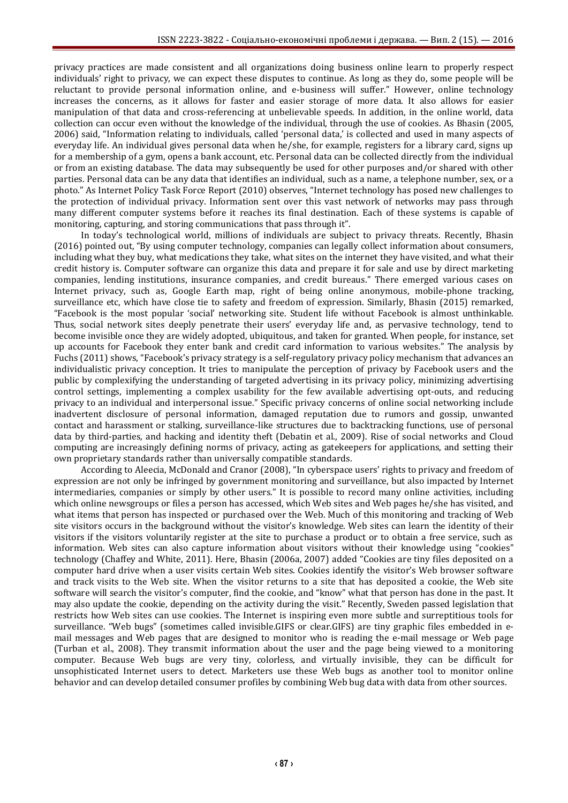privacy practices are made consistent and all organizations doing business online learn to properly respect individuals' right to privacy, we can expect these disputes to continue. As long as they do, some people will be reluctant to provide personal information online, and e-business will suffer." However, online technology increases the concerns, as it allows for faster and easier storage of more data. It also allows for easier manipulation of that data and cross-referencing at unbelievable speeds. In addition, in the online world, data collection can occur even without the knowledge of the individual, through the use of cookies. As Bhasin (2005, 2006) said, "Information relating to individuals, called 'personal data,' is collected and used in many aspects of everyday life. An individual gives personal data when he/she, for example, registers for a library card, signs up for a membership of a gym, opens a bank account, etc. Personal data can be collected directly from the individual or from an existing database. The data may subsequently be used for other purposes and/or shared with other parties. Personal data can be any data that identifies an individual, such as a name, a telephone number, sex, or a photo." As Internet Policy Task Force Report (2010) observes, "Internet technology has posed new challenges to the protection of individual privacy. Information sent over this vast network of networks may pass through many different computer systems before it reaches its final destination. Each of these systems is capable of monitoring, capturing, and storing communications that pass through it".

In today's technological world, millions of individuals are subject to privacy threats. Recently, Bhasin (2016) pointed out, "By using computer technology, companies can legally collect information about consumers, including what they buy, what medications they take, what sites on the internet they have visited, and what their credit history is. Computer software can organize this data and prepare it for sale and use by direct marketing companies, lending institutions, insurance companies, and credit bureaus." There emerged various cases on Internet privacy, such as, Google Earth map, right of being online anonymous, mobile-phone tracking, surveillance etc, which have close tie to safety and freedom of expression. Similarly, Bhasin (2015) remarked, "Facebook is the most popular 'social' networking site. Student life without Facebook is almost unthinkable. Thus, social network sites deeply penetrate their users' everyday life and, as pervasive technology, tend to become invisible once they are widely adopted, ubiquitous, and taken for granted. When people, for instance, set up accounts for Facebook they enter bank and credit card information to various websites." The analysis by Fuchs (2011) shows, "Facebook's privacy strategy is a self-regulatory privacy policy mechanism that advances an individualistic privacy conception. It tries to manipulate the perception of privacy by Facebook users and the public by complexifying the understanding of targeted advertising in its privacy policy, minimizing advertising control settings, implementing a complex usability for the few available advertising opt-outs, and reducing privacy to an individual and interpersonal issue." Specific privacy concerns of online social networking include inadvertent disclosure of personal information, damaged reputation due to rumors and gossip, unwanted contact and harassment or stalking, surveillance-like structures due to backtracking functions, use of personal data by third-parties, and hacking and identity theft (Debatin et al., 2009). Rise of social networks and Cloud computing are increasingly defining norms of privacy, acting as gatekeepers for applications, and setting their own proprietary standards rather than universally compatible standards.

According to Aleecia, McDonald and Cranor (2008), "In cyberspace users' rights to privacy and freedom of expression are not only be infringed by government monitoring and surveillance, but also impacted by Internet intermediaries, companies or simply by other users." It is possible to record many online activities, including which online newsgroups or files a person has accessed, which Web sites and Web pages he/she has visited, and what items that person has inspected or purchased over the Web. Much of this monitoring and tracking of Web site visitors occurs in the background without the visitor's knowledge. Web sites can learn the identity of their visitors if the visitors voluntarily register at the site to purchase a product or to obtain a free service, such as information. Web sites can also capture information about visitors without their knowledge using "cookies" technology (Chaffey and White, 2011). Here, Bhasin (2006a, 2007) added "Cookies are tiny files deposited on a computer hard drive when a user visits certain Web sites. Cookies identify the visitor's Web browser software and track visits to the Web site. When the visitor returns to a site that has deposited a cookie, the Web site software will search the visitor's computer, find the cookie, and "know" what that person has done in the past. It may also update the cookie, depending on the activity during the visit." Recently, Sweden passed legislation that restricts how Web sites can use cookies. The Internet is inspiring even more subtle and surreptitious tools for surveillance. "Web bugs" (sometimes called invisible.GIFS or clear.GIFS) are tiny graphic files embedded in email messages and Web pages that are designed to monitor who is reading the e-mail message or Web page (Turban et al., 2008). They transmit information about the user and the page being viewed to a monitoring computer. Because Web bugs are very tiny, colorless, and virtually invisible, they can be difficult for unsophisticated Internet users to detect. Marketers use these Web bugs as another tool to monitor online behavior and can develop detailed consumer profiles by combining Web bug data with data from other sources.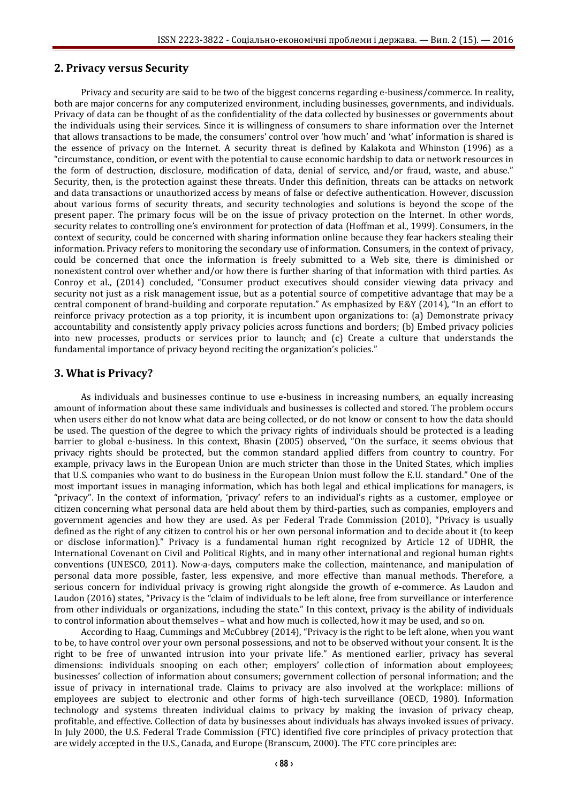### **2. Privacy versus Security**

Privacy and security are said to be two of the biggest concerns regarding e-business/commerce. In reality, both are major concerns for any computerized environment, including businesses, governments, and individuals. Privacy of data can be thought of as the confidentiality of the data collected by businesses or governments about the individuals using their services. Since it is willingness of consumers to share information over the Internet that allows transactions to be made, the consumers' control over 'how much' and 'what' information is shared is the essence of privacy on the Internet. A security threat is defined by Kalakota and Whinston (1996) as a "circumstance, condition, or event with the potential to cause economic hardship to data or network resources in the form of destruction, disclosure, modification of data, denial of service, and/or fraud, waste, and abuse." Security, then, is the protection against these threats. Under this definition, threats can be attacks on network and data transactions or unauthorized access by means of false or defective authentication. However, discussion about various forms of security threats, and security technologies and solutions is beyond the scope of the present paper. The primary focus will be on the issue of privacy protection on the Internet. In other words, security relates to controlling one's environment for protection of data (Hoffman et al., 1999). Consumers, in the context of security, could be concerned with sharing information online because they fear hackers stealing their information. Privacy refers to monitoring the secondary use of information. Consumers, in the context of privacy, could be concerned that once the information is freely submitted to a Web site, there is diminished or nonexistent control over whether and/or how there is further sharing of that information with third parties. As Conroy et al., (2014) concluded, "Consumer product executives should consider viewing data privacy and security not just as a risk management issue, but as a potential source of competitive advantage that may be a central component of brand-building and corporate reputation." As emphasized by E&Y (2014), "In an effort to reinforce privacy protection as a top priority, it is incumbent upon organizations to: (a) Demonstrate privacy accountability and consistently apply privacy policies across functions and borders; (b) Embed privacy policies into new processes, products or services prior to launch; and (c) Create a culture that understands the fundamental importance of privacy beyond reciting the organization's policies."

### **3. What is Privacy?**

As individuals and businesses continue to use e-business in increasing numbers, an equally increasing amount of information about these same individuals and businesses is collected and stored. The problem occurs when users either do not know what data are being collected, or do not know or consent to how the data should be used. The question of the degree to which the privacy rights of individuals should be protected is a leading barrier to global e-business. In this context, Bhasin (2005) observed, "On the surface, it seems obvious that privacy rights should be protected, but the common standard applied differs from country to country. For example, privacy laws in the European Union are much stricter than those in the United States, which implies that U.S. companies who want to do business in the European Union must follow the E.U. standard." One of the most important issues in managing information, which has both legal and ethical implications for managers, is "privacy". In the context of information, 'privacy' refers to an individual's rights as a customer, employee or citizen concerning what personal data are held about them by third-parties, such as companies, employers and government agencies and how they are used. As per Federal Trade Commission (2010), "Privacy is usually defined as the right of any citizen to control his or her own personal information and to decide about it (to keep or disclose information)." Privacy is a fundamental human right recognized by Article 12 of UDHR, the International Covenant on Civil and Political Rights, and in many other international and regional human rights conventions (UNESCO, 2011). Now-a-days, computers make the collection, maintenance, and manipulation of personal data more possible, faster, less expensive, and more effective than manual methods. Therefore, a serious concern for individual privacy is growing right alongside the growth of e-commerce. As Laudon and Laudon (2016) states, "Privacy is the "claim of individuals to be left alone, free from surveillance or interference from other individuals or organizations, including the state." In this context, privacy is the ability of individuals to control information about themselves – what and how much is collected, how it may be used, and so on.

According to Haag, Cummings and McCubbrey (2014), "Privacy is the right to be left alone, when you want to be, to have control over your own personal possessions, and not to be observed without your consent. It is the right to be free of unwanted intrusion into your private life." As mentioned earlier, privacy has several dimensions: individuals snooping on each other; employers' collection of information about employees; businesses' collection of information about consumers; government collection of personal information; and the issue of privacy in international trade. Claims to privacy are also involved at the workplace: millions of employees are subject to electronic and other forms of high-tech surveillance (OECD, 1980). Information technology and systems threaten individual claims to privacy by making the invasion of privacy cheap, profitable, and effective. Collection of data by businesses about individuals has always invoked issues of privacy. In July 2000, the U.S. Federal Trade Commission (FTC) identified five core principles of privacy protection that are widely accepted in the U.S., Canada, and Europe (Branscum, 2000). The FTC core principles are: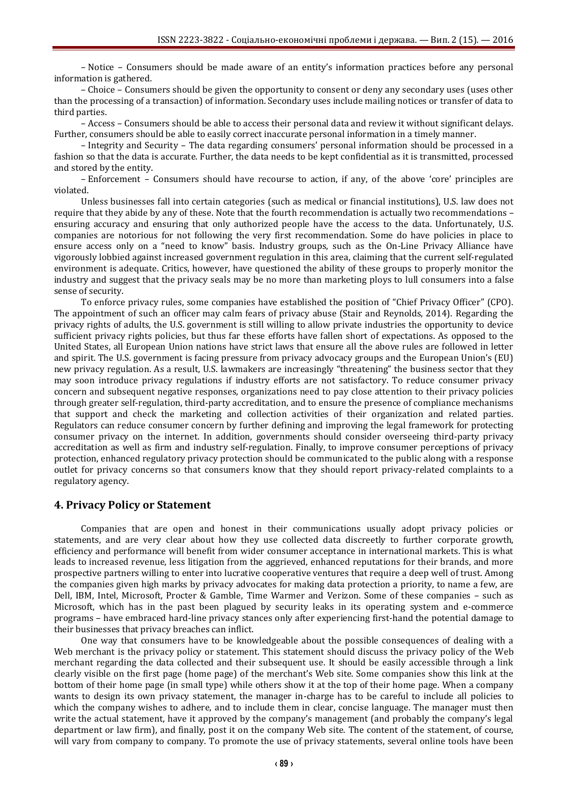– Notice – Consumers should be made aware of an entity's information practices before any personal information is gathered.

– Choice – Consumers should be given the opportunity to consent or deny any secondary uses (uses other than the processing of a transaction) of information. Secondary uses include mailing notices or transfer of data to third parties.

– Access – Consumers should be able to access their personal data and review it without significant delays. Further, consumers should be able to easily correct inaccurate personal information in a timely manner.

– Integrity and Security – The data regarding consumers' personal information should be processed in a fashion so that the data is accurate. Further, the data needs to be kept confidential as it is transmitted, processed and stored by the entity.

– Enforcement – Consumers should have recourse to action, if any, of the above 'core' principles are violated.

Unless businesses fall into certain categories (such as medical or financial institutions), U.S. law does not require that they abide by any of these. Note that the fourth recommendation is actually two recommendations – ensuring accuracy and ensuring that only authorized people have the access to the data. Unfortunately, U.S. companies are notorious for not following the very first recommendation. Some do have policies in place to ensure access only on a "need to know" basis. Industry groups, such as the On-Line Privacy Alliance have vigorously lobbied against increased government regulation in this area, claiming that the current self-regulated environment is adequate. Critics, however, have questioned the ability of these groups to properly monitor the industry and suggest that the privacy seals may be no more than marketing ploys to lull consumers into a false sense of security.

To enforce privacy rules, some companies have established the position of "Chief Privacy Officer" (CPO). The appointment of such an officer may calm fears of privacy abuse (Stair and Reynolds, 2014). Regarding the privacy rights of adults, the U.S. government is still willing to allow private industries the opportunity to device sufficient privacy rights policies, but thus far these efforts have fallen short of expectations. As opposed to the United States, all European Union nations have strict laws that ensure all the above rules are followed in letter and spirit. The U.S. government is facing pressure from privacy advocacy groups and the European Union's (EU) new privacy regulation. As a result, U.S. lawmakers are increasingly "threatening" the business sector that they may soon introduce privacy regulations if industry efforts are not satisfactory. To reduce consumer privacy concern and subsequent negative responses, organizations need to pay close attention to their privacy policies through greater self-regulation, third-party accreditation, and to ensure the presence of compliance mechanisms that support and check the marketing and collection activities of their organization and related parties. Regulators can reduce consumer concern by further defining and improving the legal framework for protecting consumer privacy on the internet. In addition, governments should consider overseeing third-party privacy accreditation as well as firm and industry self-regulation. Finally, to improve consumer perceptions of privacy protection, enhanced regulatory privacy protection should be communicated to the public along with a response outlet for privacy concerns so that consumers know that they should report privacy-related complaints to a regulatory agency.

## **4. Privacy Policy or Statement**

Companies that are open and honest in their communications usually adopt privacy policies or statements, and are very clear about how they use collected data discreetly to further corporate growth, efficiency and performance will benefit from wider consumer acceptance in international markets. This is what leads to increased revenue, less litigation from the aggrieved, enhanced reputations for their brands, and more prospective partners willing to enter into lucrative cooperative ventures that require a deep well of trust. Among the companies given high marks by privacy advocates for making data protection a priority, to name a few, are Dell, IBM, Intel, Microsoft, Procter & Gamble, Time Warmer and Verizon. Some of these companies – such as Microsoft, which has in the past been plagued by security leaks in its operating system and e-commerce programs – have embraced hard-line privacy stances only after experiencing first-hand the potential damage to their businesses that privacy breaches can inflict.

One way that consumers have to be knowledgeable about the possible consequences of dealing with a Web merchant is the privacy policy or statement. This statement should discuss the privacy policy of the Web merchant regarding the data collected and their subsequent use. It should be easily accessible through a link clearly visible on the first page (home page) of the merchant's Web site. Some companies show this link at the bottom of their home page (in small type) while others show it at the top of their home page. When a company wants to design its own privacy statement, the manager in-charge has to be careful to include all policies to which the company wishes to adhere, and to include them in clear, concise language. The manager must then write the actual statement, have it approved by the company's management (and probably the company's legal department or law firm), and finally, post it on the company Web site. The content of the statement, of course, will vary from company to company. To promote the use of privacy statements, several online tools have been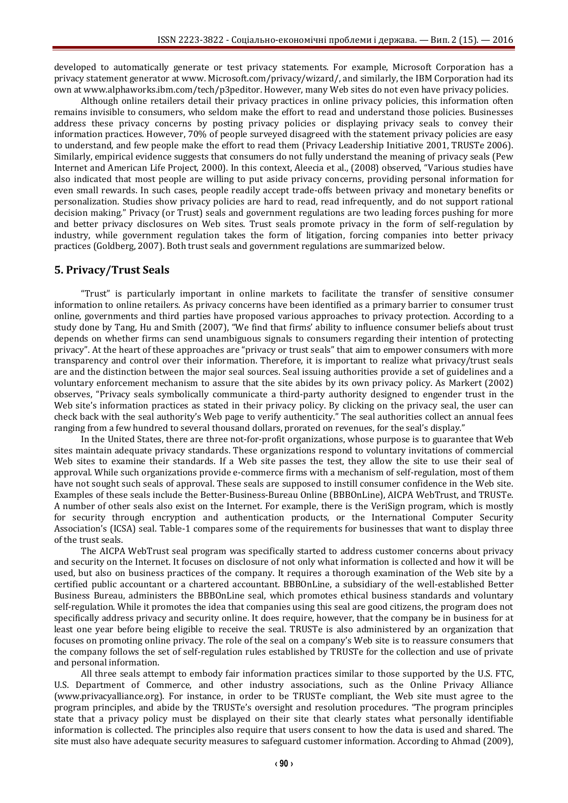developed to automatically generate or test privacy statements. For example, Microsoft Corporation has a privacy statement generator at www. Microsoft.com/privacy/wizard/, and similarly, the IBM Corporation had its own at www.alphaworks.ibm.com/tech/p3peditor. However, many Web sites do not even have privacy policies.

Although online retailers detail their privacy practices in online privacy policies, this information often remains invisible to consumers, who seldom make the effort to read and understand those policies. Businesses address these privacy concerns by posting privacy policies or displaying privacy seals to convey their information practices. However, 70% of people surveyed disagreed with the statement privacy policies are easy to understand, and few people make the effort to read them (Privacy Leadership Initiative 2001, TRUSTe 2006). Similarly, empirical evidence suggests that consumers do not fully understand the meaning of privacy seals (Pew Internet and American Life Project, 2000). In this context, Aleecia et al., (2008) observed, "Various studies have also indicated that most people are willing to put aside privacy concerns, providing personal information for even small rewards. In such cases, people readily accept trade-offs between privacy and monetary benefits or personalization. Studies show privacy policies are hard to read, read infrequently, and do not support rational decision making." Privacy (or Trust) seals and government regulations are two leading forces pushing for more and better privacy disclosures on Web sites. Trust seals promote privacy in the form of self-regulation by industry, while government regulation takes the form of litigation, forcing companies into better privacy practices (Goldberg, 2007). Both trust seals and government regulations are summarized below.

## **5. Privacy/Trust Seals**

"Trust" is particularly important in online markets to facilitate the transfer of sensitive consumer information to online retailers. As privacy concerns have been identified as a primary barrier to consumer trust online, governments and third parties have proposed various approaches to privacy protection. According to a study done by Tang, Hu and Smith (2007), "We find that firms' ability to influence consumer beliefs about trust depends on whether firms can send unambiguous signals to consumers regarding their intention of protecting privacy". At the heart of these approaches are "privacy or trust seals" that aim to empower consumers with more transparency and control over their information. Therefore, it is important to realize what privacy/trust seals are and the distinction between the major seal sources. Seal issuing authorities provide a set of guidelines and a voluntary enforcement mechanism to assure that the site abides by its own privacy policy. As Markert (2002) observes, "Privacy seals symbolically communicate a third-party authority designed to engender trust in the Web site's information practices as stated in their privacy policy. By clicking on the privacy seal, the user can check back with the seal authority's Web page to verify authenticity." The seal authorities collect an annual fees ranging from a few hundred to several thousand dollars, prorated on revenues, for the seal's display."

In the United States, there are three not-for-profit organizations, whose purpose is to guarantee that Web sites maintain adequate privacy standards. These organizations respond to voluntary invitations of commercial Web sites to examine their standards. If a Web site passes the test, they allow the site to use their seal of approval. While such organizations provide e-commerce firms with a mechanism of self-regulation, most of them have not sought such seals of approval. These seals are supposed to instill consumer confidence in the Web site. Examples of these seals include the Better-Business-Bureau Online (BBBOnLine), AICPA WebTrust, and TRUSTe. A number of other seals also exist on the Internet. For example, there is the VeriSign program, which is mostly for security through encryption and authentication products, or the International Computer Security Association's (ICSA) seal. Table-1 compares some of the requirements for businesses that want to display three of the trust seals.

The AICPA WebTrust seal program was specifically started to address customer concerns about privacy and security on the Internet. It focuses on disclosure of not only what information is collected and how it will be used, but also on business practices of the company. It requires a thorough examination of the Web site by a certified public accountant or a chartered accountant. BBBOnLine, a subsidiary of the well-established Better Business Bureau, administers the BBBOnLine seal, which promotes ethical business standards and voluntary self-regulation. While it promotes the idea that companies using this seal are good citizens, the program does not specifically address privacy and security online. It does require, however, that the company be in business for at least one year before being eligible to receive the seal. TRUSTe is also administered by an organization that focuses on promoting online privacy. The role of the seal on a company's Web site is to reassure consumers that the company follows the set of self-regulation rules established by TRUSTe for the collection and use of private and personal information.

All three seals attempt to embody fair information practices similar to those supported by the U.S. FTC, U.S. Department of Commerce, and other industry associations, such as the Online Privacy Alliance (www.privacyalliance.org). For instance, in order to be TRUSTe compliant, the Web site must agree to the program principles, and abide by the TRUSTe's oversight and resolution procedures. "The program principles state that a privacy policy must be displayed on their site that clearly states what personally identifiable information is collected. The principles also require that users consent to how the data is used and shared. The site must also have adequate security measures to safeguard customer information. According to Ahmad (2009),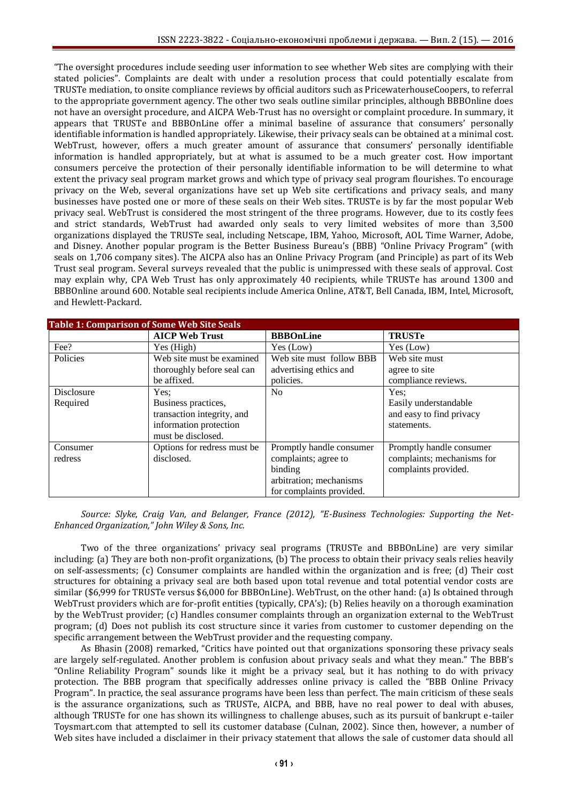"The oversight procedures include seeding user information to see whether Web sites are complying with their stated policies". Complaints are dealt with under a resolution process that could potentially escalate from TRUSTe mediation, to onsite compliance reviews by official auditors such as PricewaterhouseCoopers, to referral to the appropriate government agency. The other two seals outline similar principles, although BBBOnline does not have an oversight procedure, and AICPA Web-Trust has no oversight or complaint procedure. In summary, it appears that TRUSTe and BBBOnLine offer a minimal baseline of assurance that consumers' personally identifiable information is handled appropriately. Likewise, their privacy seals can be obtained at a minimal cost. WebTrust, however, offers a much greater amount of assurance that consumers' personally identifiable information is handled appropriately, but at what is assumed to be a much greater cost. How important consumers perceive the protection of their personally identifiable information to be will determine to what extent the privacy seal program market grows and which type of privacy seal program flourishes. To encourage privacy on the Web, several organizations have set up Web site certifications and privacy seals, and many businesses have posted one or more of these seals on their Web sites. TRUSTe is by far the most popular Web privacy seal. WebTrust is considered the most stringent of the three programs. However, due to its costly fees and strict standards, WebTrust had awarded only seals to very limited websites of more than 3,500 organizations displayed the TRUSTe seal, including Netscape, IBM, Yahoo, Microsoft, AOL Time Warner, Adobe, and Disney. Another popular program is the Better Business Bureau's (BBB) "Online Privacy Program" (with seals on 1,706 company sites). The AICPA also has an Online Privacy Program (and Principle) as part of its Web Trust seal program. Several surveys revealed that the public is unimpressed with these seals of approval. Cost may explain why, CPA Web Trust has only approximately 40 recipients, while TRUSTe has around 1300 and BBBOnline around 600. Notable seal recipients include America Online, AT&T, Bell Canada, IBM, Intel, Microsoft, and Hewlett-Packard.

| <b>Table 1: Comparison of Some Web Site Seals</b> |                             |                          |                            |  |  |
|---------------------------------------------------|-----------------------------|--------------------------|----------------------------|--|--|
|                                                   | <b>AICP Web Trust</b>       | <b>BBBOnLine</b>         | <b>TRUSTe</b>              |  |  |
| Fee?                                              | Yes (High)                  | Yes (Low)                | Yes (Low)                  |  |  |
| Policies                                          | Web site must be examined   | Web site must follow BBB | Web site must              |  |  |
|                                                   | thoroughly before seal can  | advertising ethics and   | agree to site              |  |  |
|                                                   | be affixed.                 | policies.                | compliance reviews.        |  |  |
| Disclosure                                        | Yes:                        | N <sub>0</sub>           | Yes;                       |  |  |
| Required                                          | Business practices,         |                          | Easily understandable      |  |  |
|                                                   | transaction integrity, and  |                          | and easy to find privacy   |  |  |
|                                                   | information protection      |                          | statements.                |  |  |
|                                                   | must be disclosed.          |                          |                            |  |  |
| Consumer                                          | Options for redress must be | Promptly handle consumer | Promptly handle consumer   |  |  |
| redress                                           | disclosed.                  | complaints; agree to     | complaints; mechanisms for |  |  |
|                                                   |                             | binding                  | complaints provided.       |  |  |
|                                                   |                             | arbitration; mechanisms  |                            |  |  |
|                                                   |                             | for complaints provided. |                            |  |  |

*Source: Slyke, Craig Van, and Belanger, France (2012), "E-Business Technologies: Supporting the Net-Enhanced Organization," John Wiley & Sons, Inc.*

Two of the three organizations' privacy seal programs (TRUSTe and BBBOnLine) are very similar including: (a) They are both non-profit organizations, (b) The process to obtain their privacy seals relies heavily on self-assessments; (c) Consumer complaints are handled within the organization and is free; (d) Their cost structures for obtaining a privacy seal are both based upon total revenue and total potential vendor costs are similar (\$6,999 for TRUSTe versus \$6,000 for BBBOnLine). WebTrust, on the other hand: (a) Is obtained through WebTrust providers which are for-profit entities (typically, CPA's); (b) Relies heavily on a thorough examination by the WebTrust provider; (c) Handles consumer complaints through an organization external to the WebTrust program; (d) Does not publish its cost structure since it varies from customer to customer depending on the specific arrangement between the WebTrust provider and the requesting company.

As Bhasin (2008) remarked, "Critics have pointed out that organizations sponsoring these privacy seals are largely self-regulated. Another problem is confusion about privacy seals and what they mean." The BBB's "Online Reliability Program" sounds like it might be a privacy seal, but it has nothing to do with privacy protection. The BBB program that specifically addresses online privacy is called the "BBB Online Privacy Program". In practice, the seal assurance programs have been less than perfect. The main criticism of these seals is the assurance organizations, such as TRUSTe, AICPA, and BBB, have no real power to deal with abuses, although TRUSTe for one has shown its willingness to challenge abuses, such as its pursuit of bankrupt e-tailer Toysmart.com that attempted to sell its customer database (Culnan, 2002). Since then, however, a number of Web sites have included a disclaimer in their privacy statement that allows the sale of customer data should all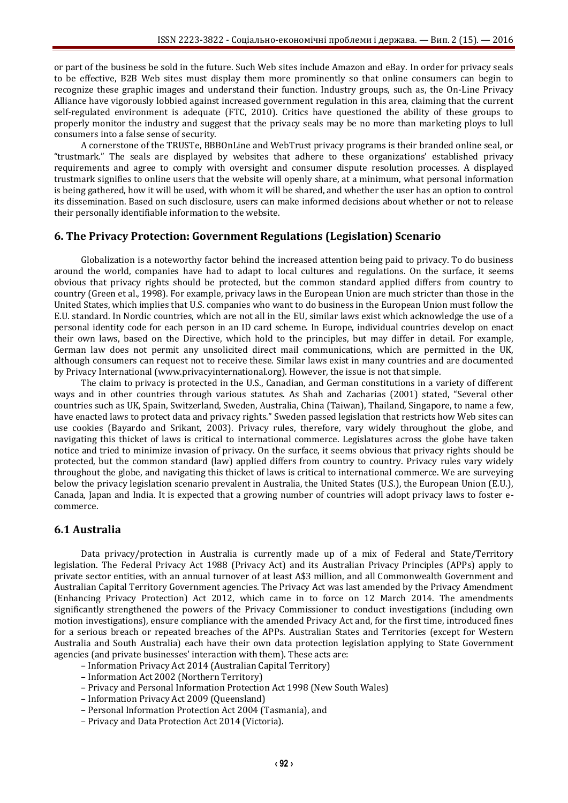or part of the business be sold in the future. Such Web sites include Amazon and eBay. In order for privacy seals to be effective, B2B Web sites must display them more prominently so that online consumers can begin to recognize these graphic images and understand their function. Industry groups, such as, the On-Line Privacy Alliance have vigorously lobbied against increased government regulation in this area, claiming that the current self-regulated environment is adequate (FTC, 2010). Critics have questioned the ability of these groups to properly monitor the industry and suggest that the privacy seals may be no more than marketing ploys to lull consumers into a false sense of security.

A cornerstone of the TRUSTe, BBBOnLine and WebTrust privacy programs is their branded online seal, or "trustmark." The seals are displayed by websites that adhere to these organizations' established privacy requirements and agree to comply with oversight and consumer dispute resolution processes. A displayed trustmark signifies to online users that the website will openly share, at a minimum, what personal information is being gathered, how it will be used, with whom it will be shared, and whether the user has an option to control its dissemination. Based on such disclosure, users can make informed decisions about whether or not to release their personally identifiable information to the website.

## **6. The Privacy Protection: Government Regulations (Legislation) Scenario**

Globalization is a noteworthy factor behind the increased attention being paid to privacy. To do business around the world, companies have had to adapt to local cultures and regulations. On the surface, it seems obvious that privacy rights should be protected, but the common standard applied differs from country to country (Green et al., 1998). For example, privacy laws in the European Union are much stricter than those in the United States, which implies that U.S. companies who want to do business in the European Union must follow the E.U. standard. In Nordic countries, which are not all in the EU, similar laws exist which acknowledge the use of a personal identity code for each person in an ID card scheme. In Europe, individual countries develop on enact their own laws, based on the Directive, which hold to the principles, but may differ in detail. For example, German law does not permit any unsolicited direct mail communications, which are permitted in the UK, although consumers can request not to receive these. Similar laws exist in many countries and are documented by Privacy International (www.privacyinternational.org). However, the issue is not that simple.

The claim to privacy is protected in the U.S., Canadian, and German constitutions in a variety of different ways and in other countries through various statutes. As Shah and Zacharias (2001) stated, "Several other countries such as UK, Spain, Switzerland, Sweden, Australia, China (Taiwan), Thailand, Singapore, to name a few, have enacted laws to protect data and privacy rights." Sweden passed legislation that restricts how Web sites can use cookies (Bayardo and Srikant, 2003). Privacy rules, therefore, vary widely throughout the globe, and navigating this thicket of laws is critical to international commerce. Legislatures across the globe have taken notice and tried to minimize invasion of privacy. On the surface, it seems obvious that privacy rights should be protected, but the common standard (law) applied differs from country to country. Privacy rules vary widely throughout the globe, and navigating this thicket of laws is critical to international commerce. We are surveying below the privacy legislation scenario prevalent in Australia, the United States (U.S.), the European Union (E.U.), Canada, Japan and India. It is expected that a growing number of countries will adopt privacy laws to foster ecommerce.

## **6.1 Australia**

Data privacy/protection in Australia is currently made up of a mix of Federal and State/Territory legislation. The Federal Privacy Act 1988 (Privacy Act) and its Australian Privacy Principles (APPs) apply to private sector entities, with an annual turnover of at least A\$3 million, and all Commonwealth Government and Australian Capital Territory Government agencies. The Privacy Act was last amended by the Privacy Amendment (Enhancing Privacy Protection) Act 2012, which came in to force on 12 March 2014. The amendments significantly strengthened the powers of the Privacy Commissioner to conduct investigations (including own motion investigations), ensure compliance with the amended Privacy Act and, for the first time, introduced fines for a serious breach or repeated breaches of the APPs. Australian States and Territories (except for Western Australia and South Australia) each have their own data protection legislation applying to State Government agencies (and private businesses' interaction with them). These acts are:

- Information Privacy Act 2014 (Australian Capital Territory)
- Information Act 2002 (Northern Territory)
- Privacy and Personal Information Protection Act 1998 (New South Wales)
- Information Privacy Act 2009 (Queensland)
- Personal Information Protection Act 2004 (Tasmania), and
- Privacy and Data Protection Act 2014 (Victoria).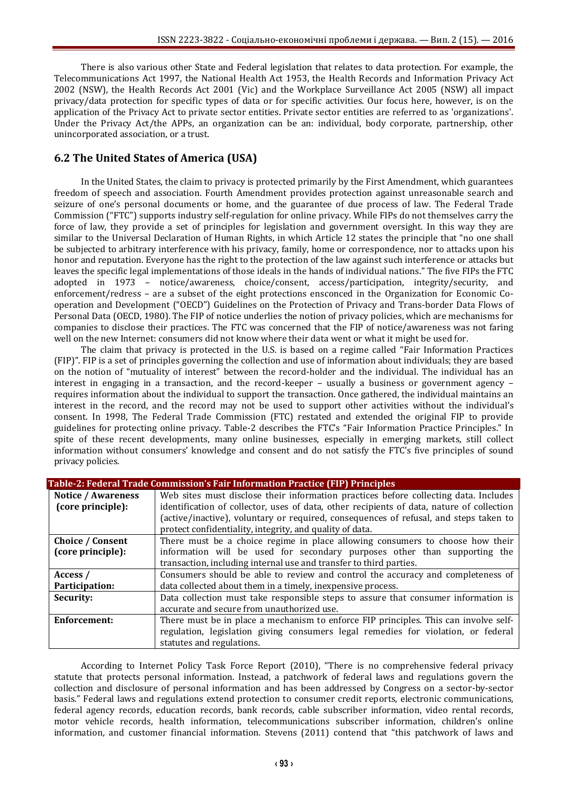There is also various other State and Federal legislation that relates to data protection. For example, the Telecommunications Act 1997, the National Health Act 1953, the Health Records and Information Privacy Act 2002 (NSW), the Health Records Act 2001 (Vic) and the Workplace Surveillance Act 2005 (NSW) all impact privacy/data protection for specific types of data or for specific activities. Our focus here, however, is on the application of the Privacy Act to private sector entities. Private sector entities are referred to as 'organizations'. Under the Privacy Act/the APPs, an organization can be an: individual, body corporate, partnership, other unincorporated association, or a trust.

# **6.2 The United States of America (USA)**

In the United States, the claim to privacy is protected primarily by the First Amendment, which guarantees freedom of speech and association. Fourth Amendment provides protection against unreasonable search and seizure of one's personal documents or home, and the guarantee of due process of law. The Federal Trade Commission ("FTC") supports industry self-regulation for online privacy. While FIPs do not themselves carry the force of law, they provide a set of principles for legislation and government oversight. In this way they are similar to the Universal Declaration of Human Rights, in which Article 12 states the principle that "no one shall be subjected to arbitrary interference with his privacy, family, home or correspondence, nor to attacks upon his honor and reputation. Everyone has the right to the protection of the law against such interference or attacks but leaves the specific legal implementations of those ideals in the hands of individual nations." The five FIPs the FTC adopted in 1973 – notice/awareness, choice/consent, access/participation, integrity/security, and enforcement/redress – are a subset of the eight protections ensconced in the Organization for Economic Cooperation and Development ("OECD") Guidelines on the Protection of Privacy and Trans-border Data Flows of Personal Data (OECD, 1980). The FIP of notice underlies the notion of privacy policies, which are mechanisms for companies to disclose their practices. The FTC was concerned that the FIP of notice/awareness was not faring well on the new Internet: consumers did not know where their data went or what it might be used for.

The claim that privacy is protected in the U.S. is based on a regime called "Fair Information Practices (FIP)". FIP is a set of principles governing the collection and use of information about individuals; they are based on the notion of "mutuality of interest" between the record-holder and the individual. The individual has an interest in engaging in a transaction, and the record-keeper – usually a business or government agency – requires information about the individual to support the transaction. Once gathered, the individual maintains an interest in the record, and the record may not be used to support other activities without the individual's consent. In 1998, The Federal Trade Commission (FTC) restated and extended the original FIP to provide guidelines for protecting online privacy. Table-2 describes the FTC's "Fair Information Practice Principles." In spite of these recent developments, many online businesses, especially in emerging markets, still collect information without consumers' knowledge and consent and do not satisfy the FTC's five principles of sound privacy policies.

| <b>Notice / Awareness</b> | Web sites must disclose their information practices before collecting data. Includes      |  |  |  |
|---------------------------|-------------------------------------------------------------------------------------------|--|--|--|
| (core principle):         | identification of collector, uses of data, other recipients of data, nature of collection |  |  |  |
|                           | (active/inactive), voluntary or required, consequences of refusal, and steps taken to     |  |  |  |
|                           | protect confidentiality, integrity, and quality of data.                                  |  |  |  |
| Choice / Consent          | There must be a choice regime in place allowing consumers to choose how their             |  |  |  |
| (core principle):         | information will be used for secondary purposes other than supporting the                 |  |  |  |
|                           | transaction, including internal use and transfer to third parties.                        |  |  |  |
| Access /                  | Consumers should be able to review and control the accuracy and completeness of           |  |  |  |
| Participation:            | data collected about them in a timely, inexpensive process.                               |  |  |  |
| Security:                 | Data collection must take responsible steps to assure that consumer information is        |  |  |  |
|                           | accurate and secure from unauthorized use.                                                |  |  |  |
| <b>Enforcement:</b>       | There must be in place a mechanism to enforce FIP principles. This can involve self-      |  |  |  |
|                           | regulation, legislation giving consumers legal remedies for violation, or federal         |  |  |  |
|                           | statutes and regulations.                                                                 |  |  |  |

| Table-2: Federal Trade Commission's Fair Information Practice (FIP) Principles |                                                                                  |  |  |  |  |  |
|--------------------------------------------------------------------------------|----------------------------------------------------------------------------------|--|--|--|--|--|
| Notice / Awareness                                                             | Web sites must disclose their information practices before collecting data. Incl |  |  |  |  |  |

According to Internet Policy Task Force Report (2010), "There is no comprehensive federal privacy statute that protects personal information. Instead, a patchwork of federal laws and regulations govern the collection and disclosure of personal information and has been addressed by Congress on a sector-by-sector basis." Federal laws and regulations extend protection to consumer credit reports, electronic communications, federal agency records, education records, bank records, cable subscriber information, video rental records, motor vehicle records, health information, telecommunications subscriber information, children's online information, and customer financial information. Stevens (2011) contend that "this patchwork of laws and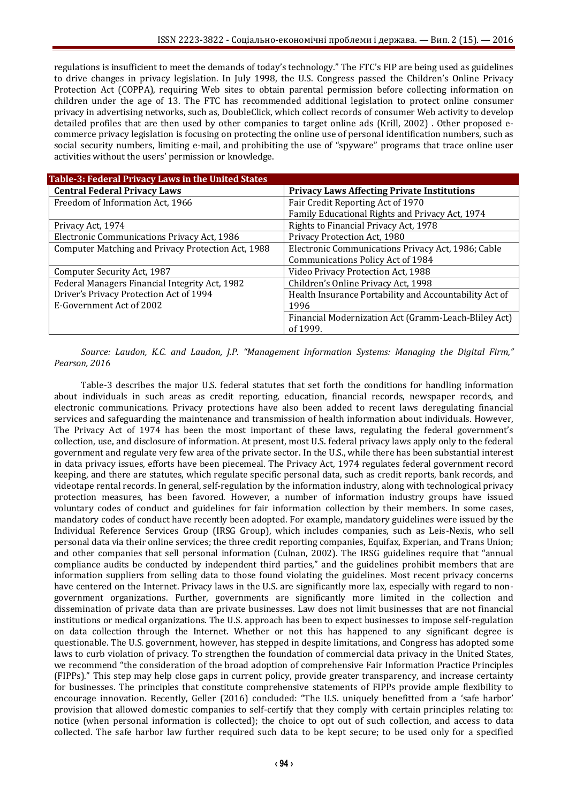regulations is insufficient to meet the demands of today's technology." The FTC's FIP are being used as guidelines to drive changes in privacy legislation. In July 1998, the U.S. Congress passed the Children's Online Privacy Protection Act (COPPA), requiring Web sites to obtain parental permission before collecting information on children under the age of 13. The FTC has recommended additional legislation to protect online consumer privacy in advertising networks, such as, DoubleClick, which collect records of consumer Web activity to develop detailed profiles that are then used by other companies to target online ads (Krill, 2002) . Other proposed ecommerce privacy legislation is focusing on protecting the online use of personal identification numbers, such as social security numbers, limiting e-mail, and prohibiting the use of "spyware" programs that trace online user activities without the users' permission or knowledge.

| Table-3: Federal Privacy Laws in the United States |                                                        |  |  |  |
|----------------------------------------------------|--------------------------------------------------------|--|--|--|
| <b>Central Federal Privacy Laws</b>                | <b>Privacy Laws Affecting Private Institutions</b>     |  |  |  |
| Freedom of Information Act, 1966                   | Fair Credit Reporting Act of 1970                      |  |  |  |
|                                                    | Family Educational Rights and Privacy Act, 1974        |  |  |  |
| Privacy Act, 1974                                  | Rights to Financial Privacy Act, 1978                  |  |  |  |
| Electronic Communications Privacy Act, 1986        | Privacy Protection Act, 1980                           |  |  |  |
| Computer Matching and Privacy Protection Act, 1988 | Electronic Communications Privacy Act, 1986; Cable     |  |  |  |
|                                                    | Communications Policy Act of 1984                      |  |  |  |
| Computer Security Act, 1987                        | Video Privacy Protection Act, 1988                     |  |  |  |
| Federal Managers Financial Integrity Act, 1982     | Children's Online Privacy Act, 1998                    |  |  |  |
| Driver's Privacy Protection Act of 1994            | Health Insurance Portability and Accountability Act of |  |  |  |
| E-Government Act of 2002                           | 1996                                                   |  |  |  |
|                                                    | Financial Modernization Act (Gramm-Leach-Bliley Act)   |  |  |  |
|                                                    | of 1999.                                               |  |  |  |

*Source: Laudon, K.C. and Laudon, J.P. "Management Information Systems: Managing the Digital Firm," Pearson, 2016*

Table-3 describes the major U.S. federal statutes that set forth the conditions for handling information about individuals in such areas as credit reporting, education, financial records, newspaper records, and electronic communications. Privacy protections have also been added to recent laws deregulating financial services and safeguarding the maintenance and transmission of health information about individuals. However, The Privacy Act of 1974 has been the most important of these laws, regulating the federal government's collection, use, and disclosure of information. At present, most U.S. federal privacy laws apply only to the federal government and regulate very few area of the private sector. In the U.S., while there has been substantial interest in data privacy issues, efforts have been piecemeal. The Privacy Act, 1974 regulates federal government record keeping, and there are statutes, which regulate specific personal data, such as credit reports, bank records, and videotape rental records. In general, self-regulation by the information industry, along with technological privacy protection measures, has been favored. However, a number of information industry groups have issued voluntary codes of conduct and guidelines for fair information collection by their members. In some cases, mandatory codes of conduct have recently been adopted. For example, mandatory guidelines were issued by the Individual Reference Services Group (IRSG Group), which includes companies, such as Leis-Nexis, who sell personal data via their online services; the three credit reporting companies, Equifax, Experian, and Trans Union; and other companies that sell personal information (Culnan, 2002). The IRSG guidelines require that "annual compliance audits be conducted by independent third parties," and the guidelines prohibit members that are information suppliers from selling data to those found violating the guidelines. Most recent privacy concerns have centered on the Internet. Privacy laws in the U.S. are significantly more lax, especially with regard to nongovernment organizations. Further, governments are significantly more limited in the collection and dissemination of private data than are private businesses. Law does not limit businesses that are not financial institutions or medical organizations. The U.S. approach has been to expect businesses to impose self-regulation on data collection through the Internet. Whether or not this has happened to any significant degree is questionable. The U.S. government, however, has stepped in despite limitations, and Congress has adopted some laws to curb violation of privacy. To strengthen the foundation of commercial data privacy in the United States, we recommend "the consideration of the broad adoption of comprehensive Fair Information Practice Principles (FIPPs)." This step may help close gaps in current policy, provide greater transparency, and increase certainty for businesses. The principles that constitute comprehensive statements of FIPPs provide ample flexibility to encourage innovation. Recently, Geller (2016) concluded: "The U.S. uniquely benefitted from a 'safe harbor' provision that allowed domestic companies to self-certify that they comply with certain principles relating to: notice (when personal information is collected); the choice to opt out of such collection, and access to data collected. The safe harbor law further required such data to be kept secure; to be used only for a specified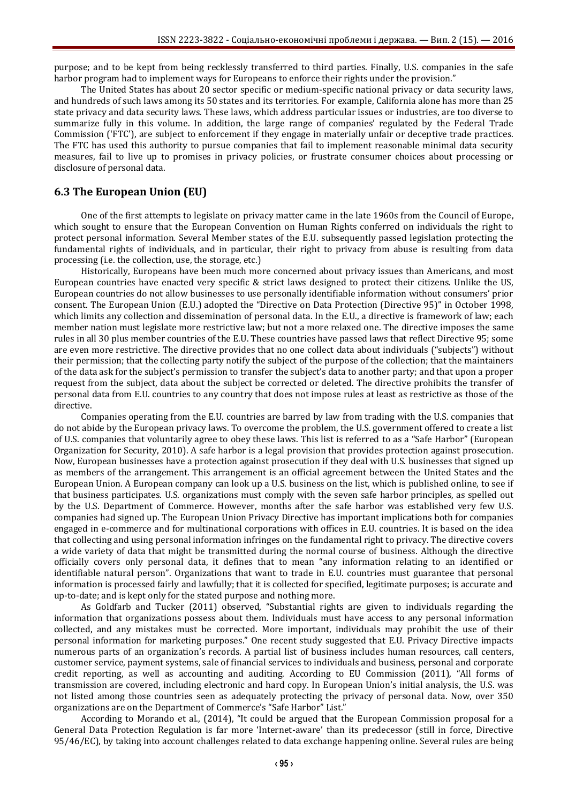purpose; and to be kept from being recklessly transferred to third parties. Finally, U.S. companies in the safe harbor program had to implement ways for Europeans to enforce their rights under the provision."

The United States has about 20 sector specific or medium-specific national privacy or data security laws, and hundreds of such laws among its 50 states and its territories. For example, California alone has more than 25 state privacy and data security laws. These laws, which address particular issues or industries, are too diverse to summarize fully in this volume. In addition, the large range of companies' regulated by the Federal Trade Commission ('FTC'), are subject to enforcement if they engage in materially unfair or deceptive trade practices. The FTC has used this authority to pursue companies that fail to implement reasonable minimal data security measures, fail to live up to promises in privacy policies, or frustrate consumer choices about processing or disclosure of personal data.

### **6.3 The European Union (EU)**

One of the first attempts to legislate on privacy matter came in the late 1960s from the Council of Europe, which sought to ensure that the European Convention on Human Rights conferred on individuals the right to protect personal information. Several Member states of the E.U. subsequently passed legislation protecting the fundamental rights of individuals, and in particular, their right to privacy from abuse is resulting from data processing (i.e. the collection, use, the storage, etc.)

Historically, Europeans have been much more concerned about privacy issues than Americans, and most European countries have enacted very specific & strict laws designed to protect their citizens. Unlike the US, European countries do not allow businesses to use personally identifiable information without consumers' prior consent. The European Union (E.U.) adopted the "Directive on Data Protection (Directive 95)" in October 1998, which limits any collection and dissemination of personal data. In the E.U., a directive is framework of law; each member nation must legislate more restrictive law; but not a more relaxed one. The directive imposes the same rules in all 30 plus member countries of the E.U. These countries have passed laws that reflect Directive 95; some are even more restrictive. The directive provides that no one collect data about individuals ("subjects") without their permission; that the collecting party notify the subject of the purpose of the collection; that the maintainers of the data ask for the subject's permission to transfer the subject's data to another party; and that upon a proper request from the subject, data about the subject be corrected or deleted. The directive prohibits the transfer of personal data from E.U. countries to any country that does not impose rules at least as restrictive as those of the directive.

Companies operating from the E.U. countries are barred by law from trading with the U.S. companies that do not abide by the European privacy laws. To overcome the problem, the U.S. government offered to create a list of U.S. companies that voluntarily agree to obey these laws. This list is referred to as a "Safe Harbor" (European Organization for Security, 2010). A safe harbor is a legal provision that provides protection against prosecution. Now, European businesses have a protection against prosecution if they deal with U.S. businesses that signed up as members of the arrangement. This arrangement is an official agreement between the United States and the European Union. A European company can look up a U.S. business on the list, which is published online, to see if that business participates. U.S. organizations must comply with the seven safe harbor principles, as spelled out by the U.S. Department of Commerce. However, months after the safe harbor was established very few U.S. companies had signed up. The European Union Privacy Directive has important implications both for companies engaged in e-commerce and for multinational corporations with offices in E.U. countries. It is based on the idea that collecting and using personal information infringes on the fundamental right to privacy. The directive covers a wide variety of data that might be transmitted during the normal course of business. Although the directive officially covers only personal data, it defines that to mean "any information relating to an identified or identifiable natural person". Organizations that want to trade in E.U. countries must guarantee that personal information is processed fairly and lawfully; that it is collected for specified, legitimate purposes; is accurate and up-to-date; and is kept only for the stated purpose and nothing more.

As Goldfarb and Tucker (2011) observed, "Substantial rights are given to individuals regarding the information that organizations possess about them. Individuals must have access to any personal information collected, and any mistakes must be corrected. More important, individuals may prohibit the use of their personal information for marketing purposes." One recent study suggested that E.U. Privacy Directive impacts numerous parts of an organization's records. A partial list of business includes human resources, call centers, customer service, payment systems, sale of financial services to individuals and business, personal and corporate credit reporting, as well as accounting and auditing. According to EU Commission (2011), "All forms of transmission are covered, including electronic and hard copy. In European Union's initial analysis, the U.S. was not listed among those countries seen as adequately protecting the privacy of personal data. Now, over 350 organizations are on the Department of Commerce's "Safe Harbor" List."

According to Morando et al., (2014), "It could be argued that the European Commission proposal for a General Data Protection Regulation is far more 'Internet-aware' than its predecessor (still in force, Directive 95/46/EC), by taking into account challenges related to data exchange happening online. Several rules are being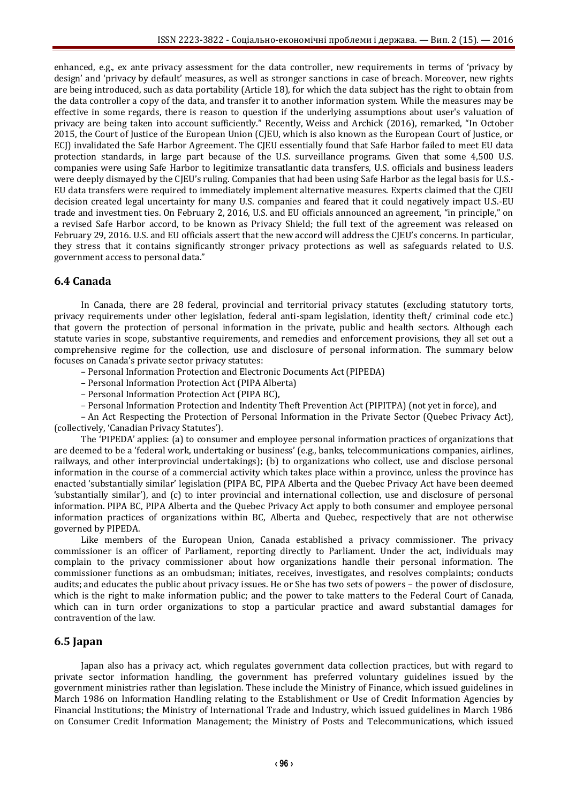enhanced, e.g., ex ante privacy assessment for the data controller, new requirements in terms of 'privacy by design' and 'privacy by default' measures, as well as stronger sanctions in case of breach. Moreover, new rights are being introduced, such as data portability (Article 18), for which the data subject has the right to obtain from the data controller a copy of the data, and transfer it to another information system. While the measures may be effective in some regards, there is reason to question if the underlying assumptions about user's valuation of privacy are being taken into account sufficiently." Recently, Weiss and Archick (2016), remarked, "In October 2015, the Court of Justice of the European Union (CJEU, which is also known as the European Court of Justice, or ECJ) invalidated the Safe Harbor Agreement. The CJEU essentially found that Safe Harbor failed to meet EU data protection standards, in large part because of the U.S. surveillance programs. Given that some 4,500 U.S. companies were using Safe Harbor to legitimize transatlantic data transfers, U.S. officials and business leaders were deeply dismayed by the CJEU's ruling. Companies that had been using Safe Harbor as the legal basis for U.S.- EU data transfers were required to immediately implement alternative measures. Experts claimed that the CJEU decision created legal uncertainty for many U.S. companies and feared that it could negatively impact U.S.-EU trade and investment ties. On February 2, 2016, U.S. and EU officials announced an agreement, "in principle," on a revised Safe Harbor accord, to be known as Privacy Shield; the full text of the agreement was released on February 29, 2016. U.S. and EU officials assert that the new accord will address the CJEU's concerns. In particular, they stress that it contains significantly stronger privacy protections as well as safeguards related to U.S. government access to personal data."

## **6.4 Canada**

In Canada, there are 28 federal, provincial and territorial privacy statutes (excluding statutory torts, privacy requirements under other legislation, federal anti-spam legislation, identity theft/ criminal code etc.) that govern the protection of personal information in the private, public and health sectors. Although each statute varies in scope, substantive requirements, and remedies and enforcement provisions, they all set out a comprehensive regime for the collection, use and disclosure of personal information. The summary below focuses on Canada's private sector privacy statutes:

- Personal Information Protection and Electronic Documents Act (PIPEDA)
- Personal Information Protection Act (PIPA Alberta)
- Personal Information Protection Act (PIPA BC),
- Personal Information Protection and Indentity Theft Prevention Act (PIPITPA) (not yet in force), and

– An Act Respecting the Protection of Personal Information in the Private Sector (Quebec Privacy Act), (collectively, 'Canadian Privacy Statutes').

The 'PIPEDA' applies: (a) to consumer and employee personal information practices of organizations that are deemed to be a 'federal work, undertaking or business' (e.g., banks, telecommunications companies, airlines, railways, and other interprovincial undertakings); (b) to organizations who collect, use and disclose personal information in the course of a commercial activity which takes place within a province, unless the province has enacted 'substantially similar' legislation (PIPA BC, PIPA Alberta and the Quebec Privacy Act have been deemed 'substantially similar'), and (c) to inter provincial and international collection, use and disclosure of personal information. PIPA BC, PIPA Alberta and the Quebec Privacy Act apply to both consumer and employee personal information practices of organizations within BC, Alberta and Quebec, respectively that are not otherwise governed by PIPEDA.

Like members of the European Union, Canada established a privacy commissioner. The privacy commissioner is an officer of Parliament, reporting directly to Parliament. Under the act, individuals may complain to the privacy commissioner about how organizations handle their personal information. The commissioner functions as an ombudsman; initiates, receives, investigates, and resolves complaints; conducts audits; and educates the public about privacy issues. He or She has two sets of powers – the power of disclosure, which is the right to make information public; and the power to take matters to the Federal Court of Canada, which can in turn order organizations to stop a particular practice and award substantial damages for contravention of the law.

# **6.5 Japan**

Japan also has a privacy act, which regulates government data collection practices, but with regard to private sector information handling, the government has preferred voluntary guidelines issued by the government ministries rather than legislation. These include the Ministry of Finance, which issued guidelines in March 1986 on Information Handling relating to the Establishment or Use of Credit Information Agencies by Financial Institutions; the Ministry of International Trade and Industry, which issued guidelines in March 1986 on Consumer Credit Information Management; the Ministry of Posts and Telecommunications, which issued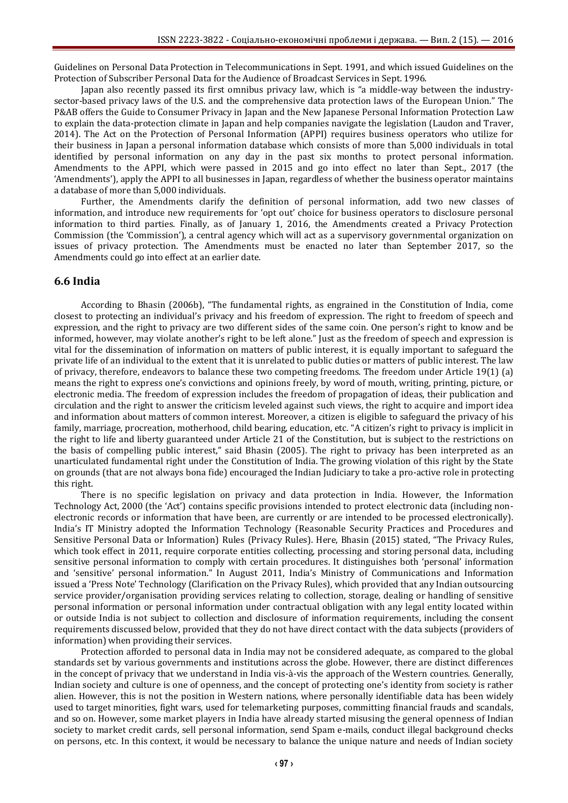Guidelines on Personal Data Protection in Telecommunications in Sept. 1991, and which issued Guidelines on the Protection of Subscriber Personal Data for the Audience of Broadcast Services in Sept. 1996.

Japan also recently passed its first omnibus privacy law, which is "a middle-way between the industrysector-based privacy laws of the U.S. and the comprehensive data protection laws of the European Union." The P&AB offers the Guide to Consumer Privacy in Japan and the New Japanese Personal Information Protection Law to explain the data-protection climate in Japan and help companies navigate the legislation (Laudon and Traver, 2014). The Act on the Protection of Personal Information (APPI) requires business operators who utilize for their business in Japan a personal information database which consists of more than 5,000 individuals in total identified by personal information on any day in the past six months to protect personal information. Amendments to the APPI, which were passed in 2015 and go into effect no later than Sept., 2017 (the 'Amendments'), apply the APPI to all businesses in Japan, regardless of whether the business operator maintains a database of more than 5,000 individuals.

Further, the Amendments clarify the definition of personal information, add two new classes of information, and introduce new requirements for 'opt out' choice for business operators to disclosure personal information to third parties. Finally, as of January 1, 2016, the Amendments created a Privacy Protection Commission (the 'Commission'), a central agency which will act as a supervisory governmental organization on issues of privacy protection. The Amendments must be enacted no later than September 2017, so the Amendments could go into effect at an earlier date.

## **6.6 India**

According to Bhasin (2006b), "The fundamental rights, as engrained in the Constitution of India, come closest to protecting an individual's privacy and his freedom of expression. The right to freedom of speech and expression, and the right to privacy are two different sides of the same coin. One person's right to know and be informed, however, may violate another's right to be left alone." Just as the freedom of speech and expression is vital for the dissemination of information on matters of public interest, it is equally important to safeguard the private life of an individual to the extent that it is unrelated to public duties or matters of public interest. The law of privacy, therefore, endeavors to balance these two competing freedoms. The freedom under Article 19(1) (a) means the right to express one's convictions and opinions freely, by word of mouth, writing, printing, picture, or electronic media. The freedom of expression includes the freedom of propagation of ideas, their publication and circulation and the right to answer the criticism leveled against such views, the right to acquire and import idea and information about matters of common interest. Moreover, a citizen is eligible to safeguard the privacy of his family, marriage, procreation, motherhood, child bearing, education, etc. "A citizen's right to privacy is implicit in the right to life and liberty guaranteed under Article 21 of the Constitution, but is subject to the restrictions on the basis of compelling public interest," said Bhasin (2005). The right to privacy has been interpreted as an unarticulated fundamental right under the Constitution of India. The growing violation of this right by the State on grounds (that are not always bona fide) encouraged the Indian Judiciary to take a pro-active role in protecting this right.

There is no specific legislation on privacy and data protection in India. However, the Information Technology Act, 2000 (the 'Act') contains specific provisions intended to protect electronic data (including nonelectronic records or information that have been, are currently or are intended to be processed electronically). India's IT Ministry adopted the Information Technology (Reasonable Security Practices and Procedures and Sensitive Personal Data or Information) Rules (Privacy Rules). Here, Bhasin (2015) stated, "The Privacy Rules, which took effect in 2011, require corporate entities collecting, processing and storing personal data, including sensitive personal information to comply with certain procedures. It distinguishes both 'personal' information and 'sensitive' personal information." In August 2011, India's Ministry of Communications and Information issued a 'Press Note' Technology (Clarification on the Privacy Rules), which provided that any Indian outsourcing service provider/organisation providing services relating to collection, storage, dealing or handling of sensitive personal information or personal information under contractual obligation with any legal entity located within or outside India is not subject to collection and disclosure of information requirements, including the consent requirements discussed below, provided that they do not have direct contact with the data subjects (providers of information) when providing their services.

Protection afforded to personal data in India may not be considered adequate, as compared to the global standards set by various governments and institutions across the globe. However, there are distinct differences in the concept of privacy that we understand in India vis-à-vis the approach of the Western countries. Generally, Indian society and culture is one of openness, and the concept of protecting one's identity from society is rather alien. However, this is not the position in Western nations, where personally identifiable data has been widely used to target minorities, fight wars, used for telemarketing purposes, committing financial frauds and scandals, and so on. However, some market players in India have already started misusing the general openness of Indian society to market credit cards, sell personal information, send Spam e-mails, conduct illegal background checks on persons, etc. In this context, it would be necessary to balance the unique nature and needs of Indian society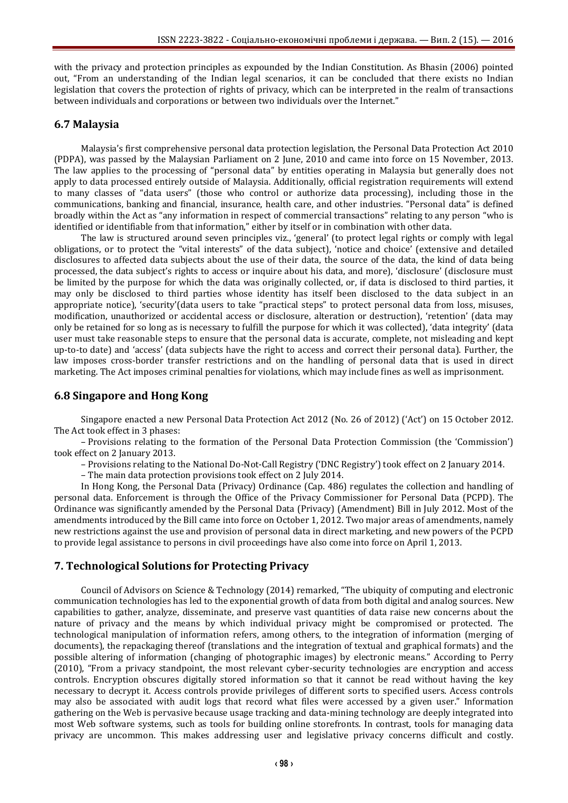with the privacy and protection principles as expounded by the Indian Constitution. As Bhasin (2006) pointed out, "From an understanding of the Indian legal scenarios, it can be concluded that there exists no Indian legislation that covers the protection of rights of privacy, which can be interpreted in the realm of transactions between individuals and corporations or between two individuals over the Internet."

#### **6.7 Malaysia**

Malaysia's first comprehensive personal data protection legislation, the Personal Data Protection Act 2010 (PDPA), was passed by the Malaysian Parliament on 2 June, 2010 and came into force on 15 November, 2013. The law applies to the processing of "personal data" by entities operating in Malaysia but generally does not apply to data processed entirely outside of Malaysia. Additionally, official registration requirements will extend to many classes of "data users" (those who control or authorize data processing), including those in the communications, banking and financial, insurance, health care, and other industries. "Personal data" is defined broadly within the Act as "any information in respect of commercial transactions" relating to any person "who is identified or identifiable from that information," either by itself or in combination with other data.

The law is structured around seven principles viz., 'general' (to protect legal rights or comply with legal obligations, or to protect the "vital interests" of the data subject), 'notice and choice' (extensive and detailed disclosures to affected data subjects about the use of their data, the source of the data, the kind of data being processed, the data subject's rights to access or inquire about his data, and more), 'disclosure' (disclosure must be limited by the purpose for which the data was originally collected, or, if data is disclosed to third parties, it may only be disclosed to third parties whose identity has itself been disclosed to the data subject in an appropriate notice), 'security'(data users to take "practical steps" to protect personal data from loss, misuses, modification, unauthorized or accidental access or disclosure, alteration or destruction), 'retention' (data may only be retained for so long as is necessary to fulfill the purpose for which it was collected), 'data integrity' (data user must take reasonable steps to ensure that the personal data is accurate, complete, not misleading and kept up-to-to date) and 'access' (data subjects have the right to access and correct their personal data). Further, the law imposes cross-border transfer restrictions and on the handling of personal data that is used in direct marketing. The Act imposes criminal penalties for violations, which may include fines as well as imprisonment.

### **6.8 Singapore and Hong Kong**

Singapore enacted a new Personal Data Protection Act 2012 (No. 26 of 2012) ('Act') on 15 October 2012. The Act took effect in 3 phases:

– Provisions relating to the formation of the Personal Data Protection Commission (the 'Commission') took effect on 2 January 2013.

– Provisions relating to the National Do-Not-Call Registry ('DNC Registry') took effect on 2 January 2014.

– The main data protection provisions took effect on 2 July 2014.

In Hong Kong, the Personal Data (Privacy) Ordinance (Cap. 486) regulates the collection and handling of personal data. Enforcement is through the Office of the Privacy Commissioner for Personal Data (PCPD). The Ordinance was significantly amended by the Personal Data (Privacy) (Amendment) Bill in July 2012. Most of the amendments introduced by the Bill came into force on October 1, 2012. Two major areas of amendments, namely new restrictions against the use and provision of personal data in direct marketing, and new powers of the PCPD to provide legal assistance to persons in civil proceedings have also come into force on April 1, 2013.

## **7. Technological Solutions for Protecting Privacy**

Council of Advisors on Science & Technology (2014) remarked, "The ubiquity of computing and electronic communication technologies has led to the exponential growth of data from both digital and analog sources. New capabilities to gather, analyze, disseminate, and preserve vast quantities of data raise new concerns about the nature of privacy and the means by which individual privacy might be compromised or protected. The technological manipulation of information refers, among others, to the integration of information (merging of documents), the repackaging thereof (translations and the integration of textual and graphical formats) and the possible altering of information (changing of photographic images) by electronic means." According to Perry (2010), "From a privacy standpoint, the most relevant cyber-security technologies are encryption and access controls. Encryption obscures digitally stored information so that it cannot be read without having the key necessary to decrypt it. Access controls provide privileges of different sorts to specified users. Access controls may also be associated with audit logs that record what files were accessed by a given user." Information gathering on the Web is pervasive because usage tracking and data-mining technology are deeply integrated into most Web software systems, such as tools for building online storefronts. In contrast, tools for managing data privacy are uncommon. This makes addressing user and legislative privacy concerns difficult and costly.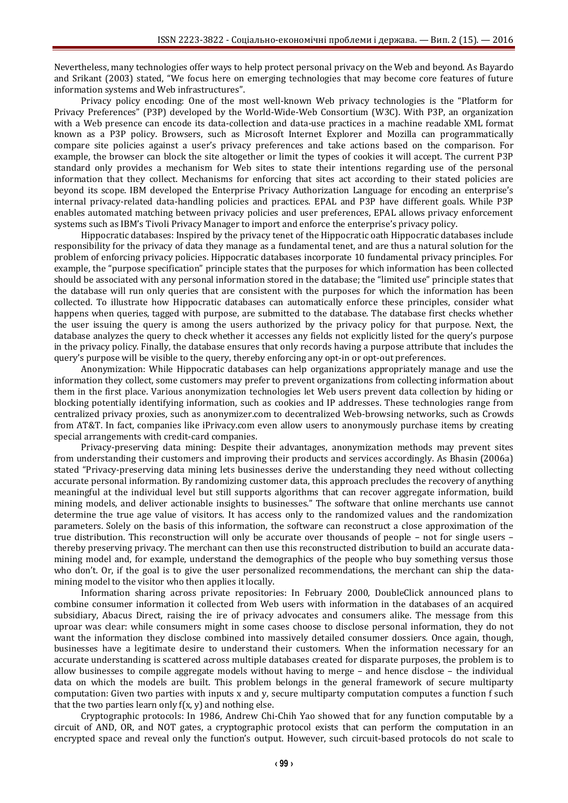Nevertheless, many technologies offer ways to help protect personal privacy on the Web and beyond. As Bayardo and Srikant (2003) stated, "We focus here on emerging technologies that may become core features of future information systems and Web infrastructures".

Privacy policy encoding: One of the most well-known Web privacy technologies is the "Platform for Privacy Preferences" (P3P) developed by the World-Wide-Web Consortium (W3C). With P3P, an organization with a Web presence can encode its data-collection and data-use practices in a machine readable XML format known as a P3P policy. Browsers, such as Microsoft Internet Explorer and Mozilla can programmatically compare site policies against a user's privacy preferences and take actions based on the comparison. For example, the browser can block the site altogether or limit the types of cookies it will accept. The current P3P standard only provides a mechanism for Web sites to state their intentions regarding use of the personal information that they collect. Mechanisms for enforcing that sites act according to their stated policies are beyond its scope. IBM developed the Enterprise Privacy Authorization Language for encoding an enterprise's internal privacy-related data-handling policies and practices. EPAL and P3P have different goals. While P3P enables automated matching between privacy policies and user preferences, EPAL allows privacy enforcement systems such as IBM's Tivoli Privacy Manager to import and enforce the enterprise's privacy policy.

Hippocratic databases: Inspired by the privacy tenet of the Hippocratic oath Hippocratic databases include responsibility for the privacy of data they manage as a fundamental tenet, and are thus a natural solution for the problem of enforcing privacy policies. Hippocratic databases incorporate 10 fundamental privacy principles. For example, the "purpose specification" principle states that the purposes for which information has been collected should be associated with any personal information stored in the database; the "limited use" principle states that the database will run only queries that are consistent with the purposes for which the information has been collected. To illustrate how Hippocratic databases can automatically enforce these principles, consider what happens when queries, tagged with purpose, are submitted to the database. The database first checks whether the user issuing the query is among the users authorized by the privacy policy for that purpose. Next, the database analyzes the query to check whether it accesses any fields not explicitly listed for the query's purpose in the privacy policy. Finally, the database ensures that only records having a purpose attribute that includes the query's purpose will be visible to the query, thereby enforcing any opt-in or opt-out preferences.

Anonymization: While Hippocratic databases can help organizations appropriately manage and use the information they collect, some customers may prefer to prevent organizations from collecting information about them in the first place. Various anonymization technologies let Web users prevent data collection by hiding or blocking potentially identifying information, such as cookies and IP addresses. These technologies range from centralized privacy proxies, such as anonymizer.com to decentralized Web-browsing networks, such as Crowds from AT&T. In fact, companies like iPrivacy.com even allow users to anonymously purchase items by creating special arrangements with credit-card companies.

Privacy-preserving data mining: Despite their advantages, anonymization methods may prevent sites from understanding their customers and improving their products and services accordingly. As Bhasin (2006a) stated "Privacy-preserving data mining lets businesses derive the understanding they need without collecting accurate personal information. By randomizing customer data, this approach precludes the recovery of anything meaningful at the individual level but still supports algorithms that can recover aggregate information, build mining models, and deliver actionable insights to businesses." The software that online merchants use cannot determine the true age value of visitors. It has access only to the randomized values and the randomization parameters. Solely on the basis of this information, the software can reconstruct a close approximation of the true distribution. This reconstruction will only be accurate over thousands of people – not for single users – thereby preserving privacy. The merchant can then use this reconstructed distribution to build an accurate datamining model and, for example, understand the demographics of the people who buy something versus those who don't. Or, if the goal is to give the user personalized recommendations, the merchant can ship the datamining model to the visitor who then applies it locally.

Information sharing across private repositories: In February 2000, DoubleClick announced plans to combine consumer information it collected from Web users with information in the databases of an acquired subsidiary, Abacus Direct, raising the ire of privacy advocates and consumers alike. The message from this uproar was clear: while consumers might in some cases choose to disclose personal information, they do not want the information they disclose combined into massively detailed consumer dossiers. Once again, though, businesses have a legitimate desire to understand their customers. When the information necessary for an accurate understanding is scattered across multiple databases created for disparate purposes, the problem is to allow businesses to compile aggregate models without having to merge – and hence disclose – the individual data on which the models are built. This problem belongs in the general framework of secure multiparty computation: Given two parties with inputs x and y, secure multiparty computation computes a function f such that the two parties learn only  $f(x, y)$  and nothing else.

Cryptographic protocols: In 1986, Andrew Chi-Chih Yao showed that for any function computable by a circuit of AND, OR, and NOT gates, a cryptographic protocol exists that can perform the computation in an encrypted space and reveal only the function's output. However, such circuit-based protocols do not scale to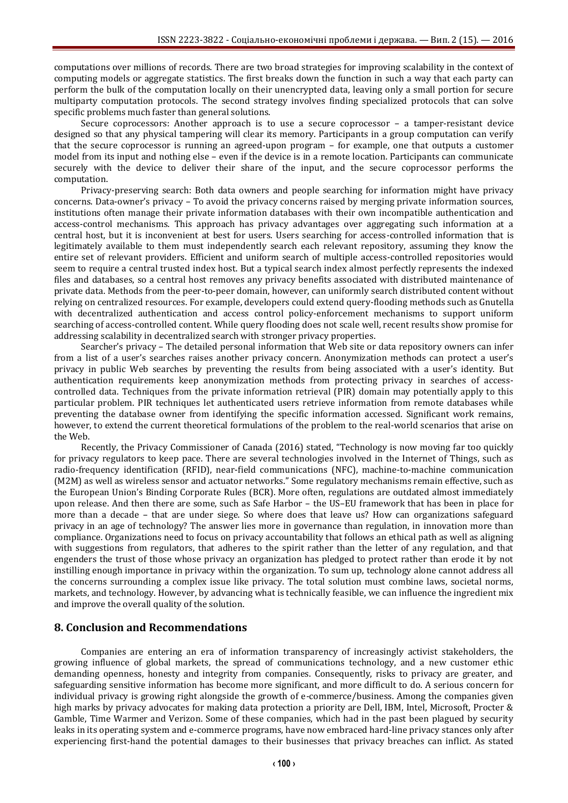computations over millions of records. There are two broad strategies for improving scalability in the context of computing models or aggregate statistics. The first breaks down the function in such a way that each party can perform the bulk of the computation locally on their unencrypted data, leaving only a small portion for secure multiparty computation protocols. The second strategy involves finding specialized protocols that can solve specific problems much faster than general solutions.

Secure coprocessors: Another approach is to use a secure coprocessor – a tamper-resistant device designed so that any physical tampering will clear its memory. Participants in a group computation can verify that the secure coprocessor is running an agreed-upon program – for example, one that outputs a customer model from its input and nothing else – even if the device is in a remote location. Participants can communicate securely with the device to deliver their share of the input, and the secure coprocessor performs the computation.

Privacy-preserving search: Both data owners and people searching for information might have privacy concerns. Data-owner's privacy – To avoid the privacy concerns raised by merging private information sources, institutions often manage their private information databases with their own incompatible authentication and access-control mechanisms. This approach has privacy advantages over aggregating such information at a central host, but it is inconvenient at best for users. Users searching for access-controlled information that is legitimately available to them must independently search each relevant repository, assuming they know the entire set of relevant providers. Efficient and uniform search of multiple access-controlled repositories would seem to require a central trusted index host. But a typical search index almost perfectly represents the indexed files and databases, so a central host removes any privacy benefits associated with distributed maintenance of private data. Methods from the peer-to-peer domain, however, can uniformly search distributed content without relying on centralized resources. For example, developers could extend query-flooding methods such as Gnutella with decentralized authentication and access control policy-enforcement mechanisms to support uniform searching of access-controlled content. While query flooding does not scale well, recent results show promise for addressing scalability in decentralized search with stronger privacy properties.

Searcher's privacy – The detailed personal information that Web site or data repository owners can infer from a list of a user's searches raises another privacy concern. Anonymization methods can protect a user's privacy in public Web searches by preventing the results from being associated with a user's identity. But authentication requirements keep anonymization methods from protecting privacy in searches of accesscontrolled data. Techniques from the private information retrieval (PIR) domain may potentially apply to this particular problem. PIR techniques let authenticated users retrieve information from remote databases while preventing the database owner from identifying the specific information accessed. Significant work remains, however, to extend the current theoretical formulations of the problem to the real-world scenarios that arise on the Web.

Recently, the Privacy Commissioner of Canada (2016) stated, "Technology is now moving far too quickly for privacy regulators to keep pace. There are several technologies involved in the Internet of Things, such as radio-frequency identification (RFID), near-field communications (NFC), machine-to-machine communication (M2M) as well as wireless sensor and actuator networks." Some regulatory mechanisms remain effective, such as the European Union's Binding Corporate Rules (BCR). More often, regulations are outdated almost immediately upon release. And then there are some, such as Safe Harbor – the US–EU framework that has been in place for more than a decade – that are under siege. So where does that leave us? How can organizations safeguard privacy in an age of technology? The answer lies more in governance than regulation, in innovation more than compliance. Organizations need to focus on privacy accountability that follows an ethical path as well as aligning with suggestions from regulators, that adheres to the spirit rather than the letter of any regulation, and that engenders the trust of those whose privacy an organization has pledged to protect rather than erode it by not instilling enough importance in privacy within the organization. To sum up, technology alone cannot address all the concerns surrounding a complex issue like privacy. The total solution must combine laws, societal norms, markets, and technology. However, by advancing what is technically feasible, we can influence the ingredient mix and improve the overall quality of the solution.

## **8. Conclusion and Recommendations**

Companies are entering an era of information transparency of increasingly activist stakeholders, the growing influence of global markets, the spread of communications technology, and a new customer ethic demanding openness, honesty and integrity from companies. Consequently, risks to privacy are greater, and safeguarding sensitive information has become more significant, and more difficult to do. A serious concern for individual privacy is growing right alongside the growth of e-commerce/business. Among the companies given high marks by privacy advocates for making data protection a priority are Dell, IBM, Intel, Microsoft, Procter & Gamble, Time Warmer and Verizon. Some of these companies, which had in the past been plagued by security leaks in its operating system and e-commerce programs, have now embraced hard-line privacy stances only after experiencing first-hand the potential damages to their businesses that privacy breaches can inflict. As stated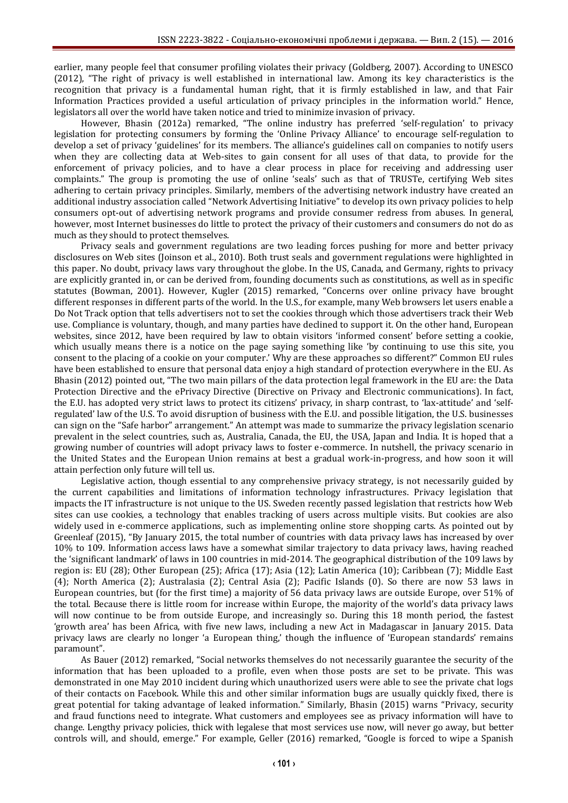earlier, many people feel that consumer profiling violates their privacy (Goldberg, 2007). According to UNESCO (2012), "The right of privacy is well established in international law. Among its key characteristics is the recognition that privacy is a fundamental human right, that it is firmly established in law, and that Fair Information Practices provided a useful articulation of privacy principles in the information world." Hence, legislators all over the world have taken notice and tried to minimize invasion of privacy.

However, Bhasin (2012a) remarked, "The online industry has preferred 'self-regulation' to privacy legislation for protecting consumers by forming the 'Online Privacy Alliance' to encourage self-regulation to develop a set of privacy 'guidelines' for its members. The alliance's guidelines call on companies to notify users when they are collecting data at Web-sites to gain consent for all uses of that data, to provide for the enforcement of privacy policies, and to have a clear process in place for receiving and addressing user complaints." The group is promoting the use of online 'seals' such as that of TRUSTe, certifying Web sites adhering to certain privacy principles. Similarly, members of the advertising network industry have created an additional industry association called "Network Advertising Initiative" to develop its own privacy policies to help consumers opt-out of advertising network programs and provide consumer redress from abuses. In general, however, most Internet businesses do little to protect the privacy of their customers and consumers do not do as much as they should to protect themselves.

Privacy seals and government regulations are two leading forces pushing for more and better privacy disclosures on Web sites (Joinson et al., 2010). Both trust seals and government regulations were highlighted in this paper. No doubt, privacy laws vary throughout the globe. In the US, Canada, and Germany, rights to privacy are explicitly granted in, or can be derived from, founding documents such as constitutions, as well as in specific statutes (Bowman, 2001). However, Kugler (2015) remarked, "Concerns over online privacy have brought different responses in different parts of the world. In the U.S., for example, many Web browsers let users enable a Do Not Track option that tells advertisers not to set the cookies through which those advertisers track their Web use. Compliance is voluntary, though, and many parties have declined to support it. On the other hand, European websites, since 2012, have been required by law to obtain visitors 'informed consent' before setting a cookie, which usually means there is a notice on the page saying something like 'by continuing to use this site, you consent to the placing of a cookie on your computer.' Why are these approaches so different?" Common EU rules have been established to ensure that personal data enjoy a high standard of protection everywhere in the EU. As Bhasin (2012) pointed out, "The two main pillars of the data protection legal framework in the EU are: the Data Protection Directive and the ePrivacy Directive (Directive on Privacy and Electronic communications). In fact, the E.U. has adopted very strict laws to protect its citizens' privacy, in sharp contrast, to 'lax-attitude' and 'selfregulated' law of the U.S. To avoid disruption of business with the E.U. and possible litigation, the U.S. businesses can sign on the "Safe harbor" arrangement." An attempt was made to summarize the privacy legislation scenario prevalent in the select countries, such as, Australia, Canada, the EU, the USA, Japan and India. It is hoped that a growing number of countries will adopt privacy laws to foster e-commerce. In nutshell, the privacy scenario in the United States and the European Union remains at best a gradual work-in-progress, and how soon it will attain perfection only future will tell us.

Legislative action, though essential to any comprehensive privacy strategy, is not necessarily guided by the current capabilities and limitations of information technology infrastructures. Privacy legislation that impacts the IT infrastructure is not unique to the US. Sweden recently passed legislation that restricts how Web sites can use cookies, a technology that enables tracking of users across multiple visits. But cookies are also widely used in e-commerce applications, such as implementing online store shopping carts. As pointed out by Greenleaf (2015), "By January 2015, the total number of countries with data privacy laws has increased by over 10% to 109. Information access laws have a somewhat similar trajectory to data privacy laws, having reached the 'significant landmark' of laws in 100 countries in mid-2014. The geographical distribution of the 109 laws by region is: EU (28); Other European (25); Africa (17); Asia (12); Latin America (10); Caribbean (7); Middle East (4); North America (2); Australasia (2); Central Asia (2); Pacific Islands (0). So there are now 53 laws in European countries, but (for the first time) a majority of 56 data privacy laws are outside Europe, over 51% of the total. Because there is little room for increase within Europe, the majority of the world's data privacy laws will now continue to be from outside Europe, and increasingly so. During this 18 month period, the fastest 'growth area' has been Africa, with five new laws, including a new Act in Madagascar in January 2015. Data privacy laws are clearly no longer 'a European thing,' though the influence of 'European standards' remains paramount".

As Bauer (2012) remarked, "Social networks themselves do not necessarily guarantee the security of the information that has been uploaded to a profile, even when those posts are set to be private. This was demonstrated in one May 2010 incident during which unauthorized users were able to see the private chat logs of their contacts on Facebook. While this and other similar information bugs are usually quickly fixed, there is great potential for taking advantage of leaked information." Similarly, Bhasin (2015) warns "Privacy, security and fraud functions need to integrate. What customers and employees see as privacy information will have to change. Lengthy privacy policies, thick with legalese that most services use now, will never go away, but better controls will, and should, emerge." For example, Geller (2016) remarked, "Google is forced to wipe a Spanish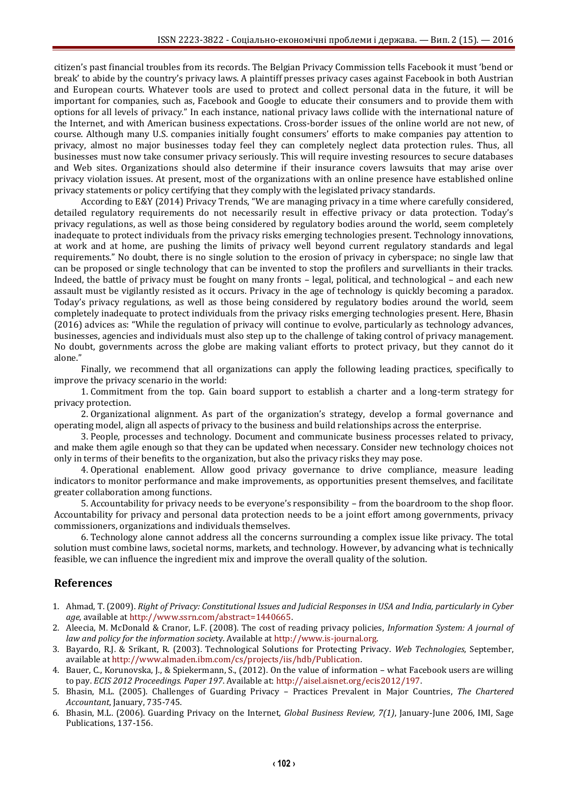citizen's past financial troubles from its records. The Belgian Privacy Commission tells Facebook it must 'bend or break' to abide by the country's privacy laws. A plaintiff presses privacy cases against Facebook in both Austrian and European courts. Whatever tools are used to protect and collect personal data in the future, it will be important for companies, such as, Facebook and Google to educate their consumers and to provide them with options for all levels of privacy." In each instance, national privacy laws collide with the international nature of the Internet, and with American business expectations. Cross-border issues of the online world are not new, of course. Although many U.S. companies initially fought consumers' efforts to make companies pay attention to privacy, almost no major businesses today feel they can completely neglect data protection rules. Thus, all businesses must now take consumer privacy seriously. This will require investing resources to secure databases and Web sites. Organizations should also determine if their insurance covers lawsuits that may arise over privacy violation issues. At present, most of the organizations with an online presence have established online privacy statements or policy certifying that they comply with the legislated privacy standards.

According to E&Y (2014) Privacy Trends, "We are managing privacy in a time where carefully considered, detailed regulatory requirements do not necessarily result in effective privacy or data protection. Today's privacy regulations, as well as those being considered by regulatory bodies around the world, seem completely inadequate to protect individuals from the privacy risks emerging technologies present. Technology innovations, at work and at home, are pushing the limits of privacy well beyond current regulatory standards and legal requirements." No doubt, there is no single solution to the erosion of privacy in cyberspace; no single law that can be proposed or single technology that can be invented to stop the profilers and survelliants in their tracks. Indeed, the battle of privacy must be fought on many fronts – legal, political, and technological – and each new assault must be vigilantly resisted as it occurs. Privacy in the age of technology is quickly becoming a paradox. Today's privacy regulations, as well as those being considered by regulatory bodies around the world, seem completely inadequate to protect individuals from the privacy risks emerging technologies present. Here, Bhasin (2016) advices as: "While the regulation of privacy will continue to evolve, particularly as technology advances, businesses, agencies and individuals must also step up to the challenge of taking control of privacy management. No doubt, governments across the globe are making valiant efforts to protect privacy, but they cannot do it alone."

Finally, we recommend that all organizations can apply the following leading practices, specifically to improve the privacy scenario in the world:

1. Commitment from the top. Gain board support to establish a charter and a long-term strategy for privacy protection.

2. Organizational alignment. As part of the organization's strategy, develop a formal governance and operating model, align all aspects of privacy to the business and build relationships across the enterprise.

3. People, processes and technology. Document and communicate business processes related to privacy, and make them agile enough so that they can be updated when necessary. Consider new technology choices not only in terms of their benefits to the organization, but also the privacy risks they may pose.

4. Operational enablement. Allow good privacy governance to drive compliance, measure leading indicators to monitor performance and make improvements, as opportunities present themselves, and facilitate greater collaboration among functions.

5. Accountability for privacy needs to be everyone's responsibility – from the boardroom to the shop floor. Accountability for privacy and personal data protection needs to be a joint effort among governments, privacy commissioners, organizations and individuals themselves.

6. Technology alone cannot address all the concerns surrounding a complex issue like privacy. The total solution must combine laws, societal norms, markets, and technology. However, by advancing what is technically feasible, we can influence the ingredient mix and improve the overall quality of the solution.

### **References**

- 1. Ahmad, T. (2009). *Right of Privacy: Constitutional Issues and Judicial Responses in USA and India, particularly in Cyber age*, available at [http://www.ssrn.com/abstract=1440665.](http://www.ssrn.com/abstract=1440665)
- 2. Aleecia, M. McDonald & Cranor, L.F. (2008). The cost of reading privacy policies, *Information System: A journal of law and policy for the information socie*ty. Available a[t http://www.is-journal.org.](http://www.is-journal.org/)
- 3. Bayardo, R.J. & Srikant, R. (2003). Technological Solutions for Protecting Privacy. *Web Technologies*, September, available a[t http://www.almaden.ibm.com/cs/projects/iis/hdb/Publication.](http://www.almaden.ibm.com/cs/projects/iis/hdb/Publication)
- 4. Bauer, C., Korunovska, J., & Spiekermann, S., (2012). On the value of information what Facebook users are willing to pay. *ECIS 2012 Proceedings. Paper 197*. Available at[: http://aisel.aisnet.org/ecis2012/197.](http://aisel.aisnet.org/ecis2012/197)
- 5. Bhasin, M.L. (2005). Challenges of Guarding Privacy Practices Prevalent in Major Countries, *The Chartered Accountant*, January, 735-745.
- 6. Bhasin, M.L. (2006). Guarding Privacy on the Internet, *Global Business Review, 7(1)*, January-June 2006, IMI, Sage Publications, 137-156.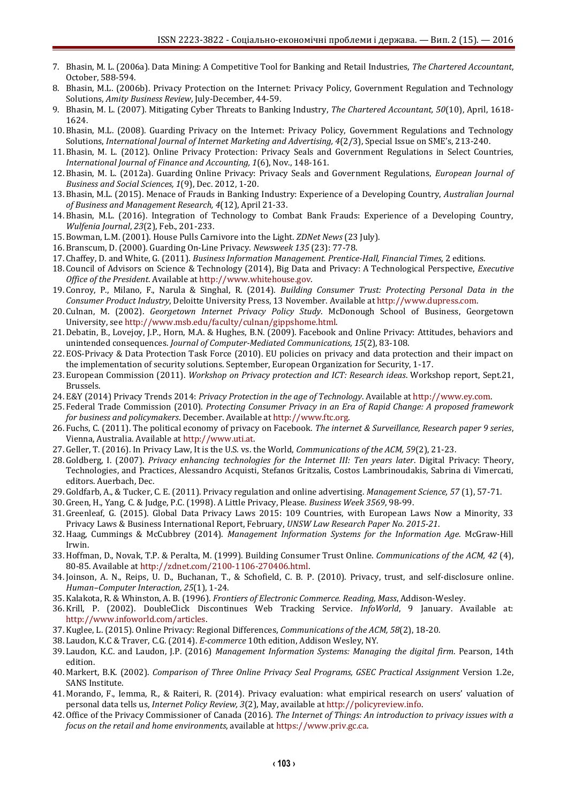- 7. Bhasin, M. L. (2006a). Data Mining: A Competitive Tool for Banking and Retail Industries, *The Chartered Accountant*, October, 588-594.
- 8. Bhasin, M.L. (2006b). Privacy Protection on the Internet: Privacy Policy, Government Regulation and Technology Solutions, *Amity Business Review*, July-December, 44-59.
- 9. Bhasin, M. L. (2007). Mitigating Cyber Threats to Banking Industry, *The Chartered Accountant, 50*(10), April, 1618- 1624.
- 10. Bhasin, M.L. (2008). Guarding Privacy on the Internet: Privacy Policy, Government Regulations and Technology Solutions, *International Journal of Internet Marketing and Advertising, 4*(2/3), Special Issue on SME's, 213-240.
- 11. Bhasin, M. L. (2012). Online Privacy Protection: Privacy Seals and Government Regulations in Select Countries, *International Journal of Finance and Accounting, 1*(6), Nov., 148-161.
- 12. Bhasin, M. L. (2012a). Guarding Online Privacy: Privacy Seals and Government Regulations, *European Journal of Business and Social Sciences, 1*(9), Dec. 2012, 1-20.
- 13. Bhasin, M.L. (2015). Menace of Frauds in Banking Industry: Experience of a Developing Country, *Australian Journal of Business and Management Research, 4*(12), April 21-33.
- 14. Bhasin, M.L. (2016). Integration of Technology to Combat Bank Frauds: Experience of a Developing Country, *Wulfenia Journal*, *23*(2), Feb., 201-233.
- 15. Bowman, L.M. (2001). House Pulls Carnivore into the Light. *ZDNet News* (23 July).
- 16. Branscum, D. (2000). Guarding On-Line Privacy. *Newsweek 135* (23): 77-78.
- 17. Chaffey, D. and White, G. (2011). *Business Information Management. Prentice-Hall, Financial Times*, 2 editions.
- 18. Council of Advisors on Science & Technology (2014), Big Data and Privacy: A Technological Perspective, *Executive Office of the President*. Available a[t http://www.whitehouse.gov.](http://www.whitehouse.gov/)
- 19. Conroy, P., Milano, F., Narula & Singhal, R. (2014). *Building Consumer Trust: Protecting Personal Data in the Consumer Product Industry*, Deloitte University Press, 13 November. Available a[t http://www.dupress.com.](http://www.dupress.com/)
- 20. Culnan, M. (2002). *Georgetown Internet Privacy Policy Study*. McDonough School of Business, Georgetown University, see [http://www.msb.edu/faculty/culnan/gippshome.html.](http://www.msb.edu/faculty/culnan/gippshome.html)
- 21. Debatin, B., Lovejoy, J.P., Horn, M.A. & Hughes, B.N. (2009). Facebook and Online Privacy: Attitudes, behaviors and unintended consequences. *Journal of Computer-Mediated Communications, 15*(2), 83-108.
- 22. EOS-Privacy & Data Protection Task Force (2010). EU policies on privacy and data protection and their impact on the implementation of security solutions. September, European Organization for Security, 1-17.
- 23. European Commission (2011). *Workshop on Privacy protection and ICT: Research ideas*. Workshop report, Sept.21, Brussels.
- 24. E&Y (2014) Privacy Trends 2014: *Privacy Protection in the age of Technology*. Available a[t http://www.ey.com.](http://www.ey.com/)
- 25. Federal Trade Commission (2010). *Protecting Consumer Privacy in an Era of Rapid Change: A proposed framework for business and policymakers*. December. Available a[t http://www.ftc.org.](http://www.ftc.org/)
- 26. Fuchs, C. (2011). The political economy of privacy on Facebook. *The internet & Surveillance, Research paper 9 series*, Vienna, Australia. Available at [http://www.uti.at.](http://www.uti.at/)
- 27. Geller, T. (2016). In Privacy Law, It is the U.S. vs. the World, *Communications of the ACM, 59*(2), 21-23.
- 28. Goldberg, I. (2007). *Privacy enhancing technologies for the Internet III: Ten years later*. Digital Privacy: Theory, Technologies, and Practices, Alessandro Acquisti, Stefanos Gritzalis, Costos Lambrinoudakis, Sabrina di Vimercati, editors. Auerbach, Dec.
- 29. Goldfarb, A., & Tucker, C. E. (2011). Privacy regulation and online advertising. *Management Science, 57* (1), 57-71.
- 30. Green, H., Yang, C. & Judge, P.C. (1998). A Little Privacy, Please. *Business Week 3569*, 98-99.
- 31. Greenleaf, G. (2015). Global Data Privacy Laws 2015: 109 Countries, with European Laws Now a Minority, 33 Privacy Laws & Business International Report, February, *UNSW Law Research Paper No. 2015-21*.
- 32. Haag, Cummings & McCubbrey (2014). *Management Information Systems for the Information Age*. McGraw-Hill Irwin.
- 33. Hoffman, D., Novak, T.P. & Peralta, M. (1999). Building Consumer Trust Online. *Communications of the ACM, 42* (4), 80-85. Available at [http://zdnet.com/2100-1106-270406.html.](http://zdnet.com/2100-1106-270406.html)
- 34. Joinson, A. N., Reips, U. D., Buchanan, T., & Schofield, C. B. P. (2010). Privacy, trust, and self-disclosure online. *Human–Computer Interaction, 25*(1), 1-24.
- 35. Kalakota, R. & Whinston, A. B. (1996). *Frontiers of Electronic Commerce. Reading, Mass*, Addison-Wesley.
- 36. Krill, P. (2002). DoubleClick Discontinues Web Tracking Service. *InfoWorld*, 9 January. Available at: [http://www.infoworld.com/articles.](http://www.infoworld.com/articles)
- 37. Kuglee, L. (2015). Online Privacy: Regional Differences, *Communications of the ACM, 58*(2), 18-20.
- 38. Laudon, K.C & Traver, C.G. (2014). *E-commerce* 10th edition, Addison Wesley, NY.
- 39. Laudon, K.C. and Laudon, J.P. (2016) *Management Information Systems: Managing the digital firm*. Pearson, 14th edition.
- 40. Markert, B.K. (2002). *Comparison of Three Online Privacy Seal Programs, GSEC Practical Assignment* Version 1.2e, SANS Institute.
- 41. Morando, F., Iemma, R., & Raiteri, R. (2014). Privacy evaluation: what empirical research on users' valuation of personal data tells us, *Internet Policy Review, 3*(2), May, available at [http://policyreview.info.](http://policyreview.info/)
- 42. Office of the Privacy Commissioner of Canada (2016). *The Internet of Things: An introduction to privacy issues with a focus on the retail and home environments*, available a[t https://www.priv.gc.ca.](https://www.priv.gc.ca/)